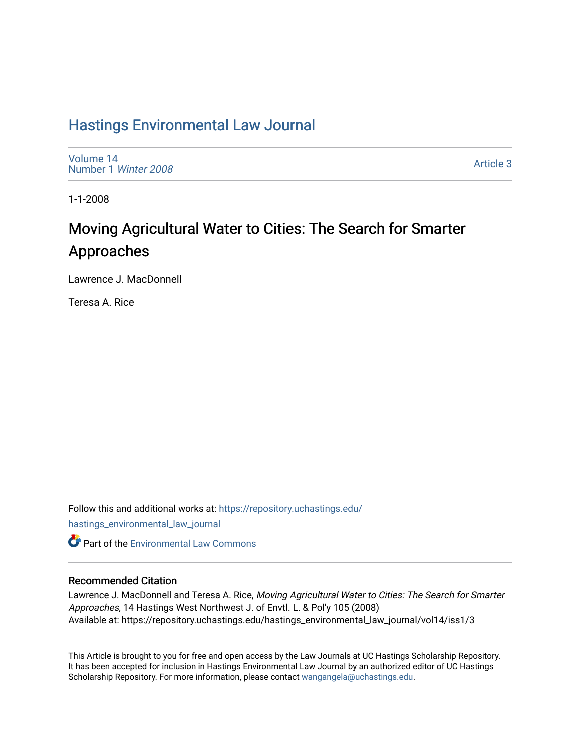## [Hastings Environmental Law Journal](https://repository.uchastings.edu/hastings_environmental_law_journal)

[Volume 14](https://repository.uchastings.edu/hastings_environmental_law_journal/vol14) [Number 1](https://repository.uchastings.edu/hastings_environmental_law_journal/vol14/iss1) Winter 2008

[Article 3](https://repository.uchastings.edu/hastings_environmental_law_journal/vol14/iss1/3) 

1-1-2008

# Moving Agricultural Water to Cities: The Search for Smarter Approaches

Lawrence J. MacDonnell

Teresa A. Rice

Follow this and additional works at: [https://repository.uchastings.edu/](https://repository.uchastings.edu/hastings_environmental_law_journal?utm_source=repository.uchastings.edu%2Fhastings_environmental_law_journal%2Fvol14%2Fiss1%2F3&utm_medium=PDF&utm_campaign=PDFCoverPages) [hastings\\_environmental\\_law\\_journal](https://repository.uchastings.edu/hastings_environmental_law_journal?utm_source=repository.uchastings.edu%2Fhastings_environmental_law_journal%2Fvol14%2Fiss1%2F3&utm_medium=PDF&utm_campaign=PDFCoverPages)  **C** Part of the [Environmental Law Commons](http://network.bepress.com/hgg/discipline/599?utm_source=repository.uchastings.edu%2Fhastings_environmental_law_journal%2Fvol14%2Fiss1%2F3&utm_medium=PDF&utm_campaign=PDFCoverPages)

## Recommended Citation

Lawrence J. MacDonnell and Teresa A. Rice, Moving Agricultural Water to Cities: The Search for Smarter Approaches, 14 Hastings West Northwest J. of Envtl. L. & Pol'y 105 (2008) Available at: https://repository.uchastings.edu/hastings\_environmental\_law\_journal/vol14/iss1/3

This Article is brought to you for free and open access by the Law Journals at UC Hastings Scholarship Repository. It has been accepted for inclusion in Hastings Environmental Law Journal by an authorized editor of UC Hastings Scholarship Repository. For more information, please contact [wangangela@uchastings.edu.](mailto:wangangela@uchastings.edu)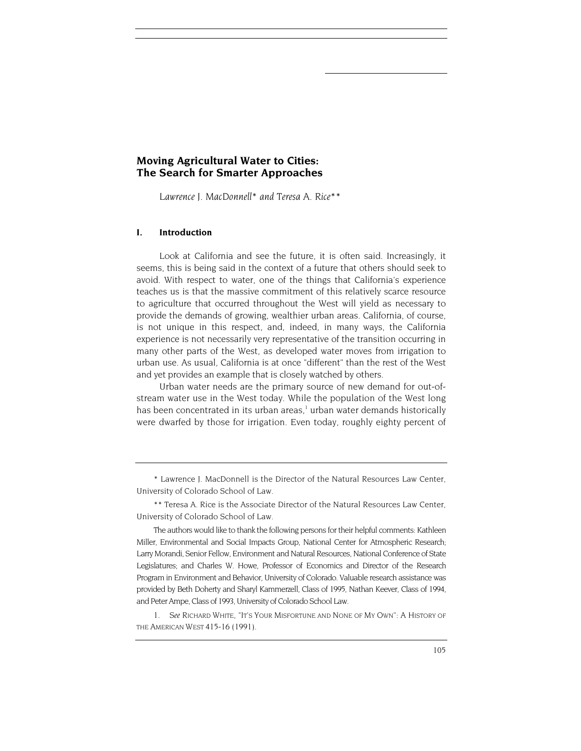## **Moving Agricultural Water to Cities: The Search for Smarter Approaches**

*Lawrence J. MacDonnell[\\*](#page-1-0) and Teresa A. Rice[\\*\\*](#page-1-1)* 

#### **I. Introduction**

Look at California and see the future, it is often said. Increasingly, it seems, this is being said in the context of a future that others should seek to avoid. With respect to water, one of the things that California's experience teaches us is that the massive commitment of this relatively scarce resource to agriculture that occurred throughout the West will yield as necessary to provide the demands of growing, wealthier urban areas. California, of course, is not unique in this respect, and, indeed, in many ways, the California experience is not necessarily very representative of the transition occurring in many other parts of the West, as developed water moves from irrigation to urban use. As usual, California is at once "different" than the rest of the West and yet provides an example that is closely watched by others.

Urban water needs are the primary source of new demand for out-ofstream water use in the West today. While the population of the West long has been concentrated in its [u](#page-1-2)rban areas,<sup>1</sup> urban water demands historically were dwarfed by those for irrigation. Even today, roughly eighty percent of

<span id="page-1-0"></span>\* Lawrence J. MacDonnell is the Director of the Natural Resources Law Center, University of Colorado School of Law.

<span id="page-1-1"></span>\*\* Teresa A. Rice is the Associate Director of the Natural Resources Law Center, University of Colorado School of Law.

The authors would like to thank the following persons for their helpful comments: Kathleen Miller, Environmental and Social Impacts Group, National Center for Atmospheric Research; Larry Morandi, Senior Fellow, Environment and Natural Resources, National Conference of State Legislatures; and Charles W. Howe, Professor of Economics and Director of the Research Program in Environment and Behavior, University of Colorado. Valuable research assistance was provided by Beth Doherty and Sharyl Kammerzell, Class of 1995, Nathan Keever, Class of 1994, and Peter Ampe, Class of 1993, University of Colorado School Law.

<span id="page-1-2"></span>1*. See* RICHARD WHITE, "IT'S YOUR MISFORTUNE AND NONE OF MY OWN": A HISTORY OF THE AMERICAN WEST 415-16 (1991).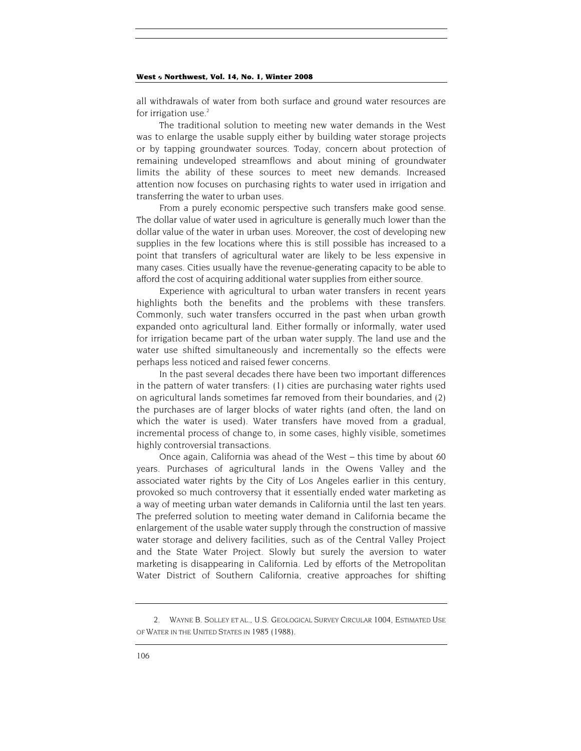all withdrawals of water from both surface and ground water resources are for irrigation use. $<sup>2</sup>$  $<sup>2</sup>$  $<sup>2</sup>$ </sup>

The traditional solution to meeting new water demands in the West was to enlarge the usable supply either by building water storage projects or by tapping groundwater sources. Today, concern about protection of remaining undeveloped streamflows and about mining of groundwater limits the ability of these sources to meet new demands. Increased attention now focuses on purchasing rights to water used in irrigation and transferring the water to urban uses.

From a purely economic perspective such transfers make good sense. The dollar value of water used in agriculture is generally much lower than the dollar value of the water in urban uses. Moreover, the cost of developing new supplies in the few locations where this is still possible has increased to a point that transfers of agricultural water are likely to be less expensive in many cases. Cities usually have the revenue-generating capacity to be able to afford the cost of acquiring additional water supplies from either source.

Experience with agricultural to urban water transfers in recent years highlights both the benefits and the problems with these transfers. Commonly, such water transfers occurred in the past when urban growth expanded onto agricultural land. Either formally or informally, water used for irrigation became part of the urban water supply. The land use and the water use shifted simultaneously and incrementally so the effects were perhaps less noticed and raised fewer concerns.

In the past several decades there have been two important differences in the pattern of water transfers: (1) cities are purchasing water rights used on agricultural lands sometimes far removed from their boundaries, and (2) the purchases are of larger blocks of water rights (and often, the land on which the water is used). Water transfers have moved from a gradual, incremental process of change to, in some cases, highly visible, sometimes highly controversial transactions.

Once again, California was ahead of the West – this time by about 60 years. Purchases of agricultural lands in the Owens Valley and the associated water rights by the City of Los Angeles earlier in this century, provoked so much controversy that it essentially ended water marketing as a way of meeting urban water demands in California until the last ten years. The preferred solution to meeting water demand in California became the enlargement of the usable water supply through the construction of massive water storage and delivery facilities, such as of the Central Valley Project and the State Water Project. Slowly but surely the aversion to water marketing is disappearing in California. Led by efforts of the Metropolitan Water District of Southern California, creative approaches for shifting

<span id="page-2-0"></span><sup>2.</sup> WAYNE B. SOLLEY ET AL., U.S. GEOLOGICAL SURVEY CIRCULAR 1004, ESTIMATED USE OF WATER IN THE UNITED STATES IN 1985 (1988).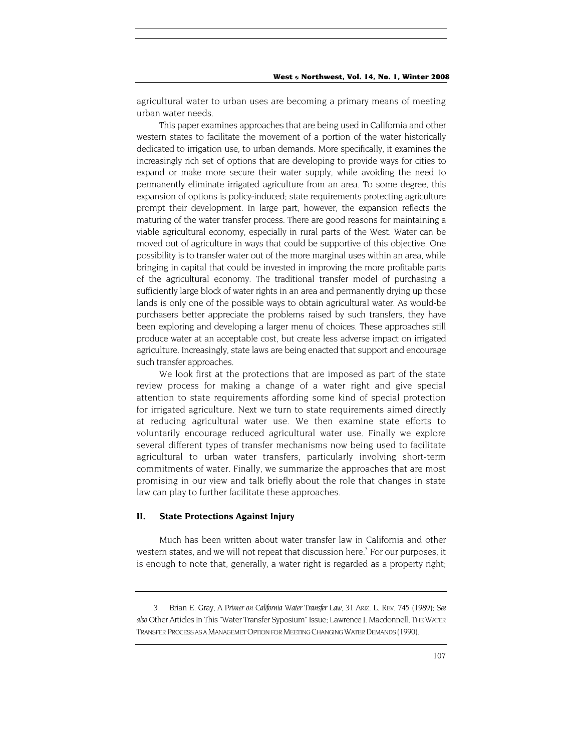agricultural water to urban uses are becoming a primary means of meeting urban water needs.

This paper examines approaches that are being used in California and other western states to facilitate the movement of a portion of the water historically dedicated to irrigation use, to urban demands. More specifically, it examines the increasingly rich set of options that are developing to provide ways for cities to expand or make more secure their water supply, while avoiding the need to permanently eliminate irrigated agriculture from an area. To some degree, this expansion of options is policy-induced; state requirements protecting agriculture prompt their development. In large part, however, the expansion reflects the maturing of the water transfer process. There are good reasons for maintaining a viable agricultural economy, especially in rural parts of the West. Water can be moved out of agriculture in ways that could be supportive of this objective. One possibility is to transfer water out of the more marginal uses within an area, while bringing in capital that could be invested in improving the more profitable parts of the agricultural economy. The traditional transfer model of purchasing a sufficiently large block of water rights in an area and permanently drying up those lands is only one of the possible ways to obtain agricultural water. As would-be purchasers better appreciate the problems raised by such transfers, they have been exploring and developing a larger menu of choices. These approaches still produce water at an acceptable cost, but create less adverse impact on irrigated agriculture. Increasingly, state laws are being enacted that support and encourage such transfer approaches.

We look first at the protections that are imposed as part of the state review process for making a change of a water right and give special attention to state requirements affording some kind of special protection for irrigated agriculture. Next we turn to state requirements aimed directly at reducing agricultural water use. We then examine state efforts to voluntarily encourage reduced agricultural water use. Finally we explore several different types of transfer mechanisms now being used to facilitate agricultural to urban water transfers, particularly involving short-term commitments of water. Finally, we summarize the approaches that are most promising in our view and talk briefly about the role that changes in state law can play to further facilitate these approaches.

## **II. State Protections Against Injury**

Much has been written about water transfer law in California and other western states, and we will not repeat that discussion here.<sup>3</sup> For our purposes, it is enough to note that, generally, a water right is regarded as a property right;

<span id="page-3-0"></span><sup>3.</sup> Brian E. Gray, *A Primer on California Water Transfer Law,* 31 ARIZ. L. REV. 745 (1989); *See also* Other Articles In This "Water Transfer Syposium" Issue; Lawrence J. Macdonnell, THE WATER TRANSFER PROCESS AS A MANAGEMET OPTION FOR MEETING CHANGING WATER DEMANDS (1990).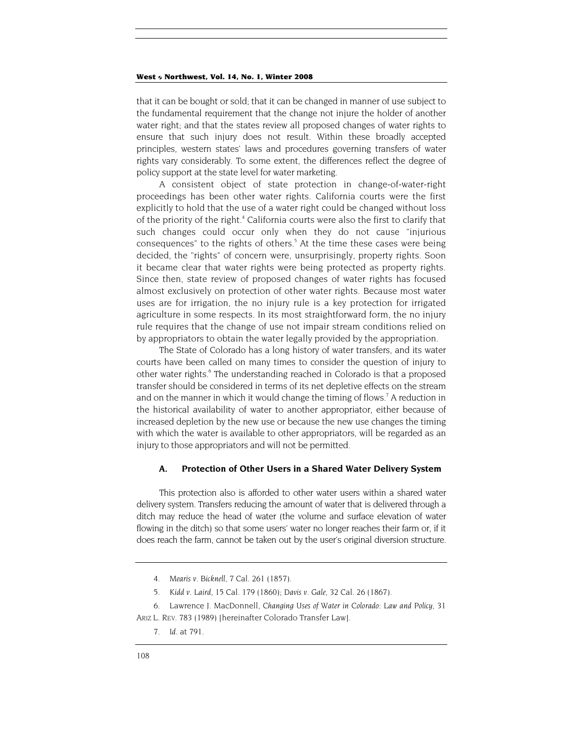that it can be bought or sold; that it can be changed in manner of use subject to the fundamental requirement that the change not injure the holder of another water right; and that the states review all proposed changes of water rights to ensure that such injury does not result. Within these broadly accepted principles, western states' laws and procedures governing transfers of water rights vary considerably. To some extent, the differences reflect the degree of policy support at the state level for water marketing.

A consistent object of state protection in change-of-water-right proceedings has been other water rights. California courts were the first explicitly to hold that the use of a water right could be changed without loss of the priority of the right.<sup>4</sup> California courts were also the first to clarify that such changes could occur only when they do not cause "injurious consequences"to the rights of others.<sup>5</sup> At the time these cases were being decided, the "rights" of concern were, unsurprisingly, property rights. Soon it became clear that water rights were being protected as property rights. Since then, state review of proposed changes of water rights has focused almost exclusively on protection of other water rights. Because most water uses are for irrigation, the no injury rule is a key protection for irrigated agriculture in some respects. In its most straightforward form, the no injury rule requires that the change of use not impair stream conditions relied on by appropriators to obtain the water legally provided by the appropriation.

The State of Colorado has a long history of water transfers, and its water courts have been called on many times to consider the question of injury to other water rights.<sup>6</sup> The understanding reached in Colorado is that a proposed transfer should be considered in terms of its net depletive effects on the stream and on the manner in which it would change the timing of flows.<sup>7</sup> A reduction in the historical availability of water to another appropriator, either because of increased depletion by the new use or because the new use changes the timing with which the water is available to other appropriators, will be regarded as an injury to those appropriators and will not be permitted.

#### **A. Protection of Other Users in a Shared Water Delivery System**

This protection also is afforded to other water users within a shared water delivery system. Transfers reducing the amount of water that is delivered through a ditch may reduce the head of water (the volume and surface elevation of water flowing in the ditch) so that some users' water no longer reaches their farm or, if it does reach the farm, cannot be taken out by the user's original diversion structure.

<span id="page-4-0"></span><sup>4</sup>*. Mearis v. Bicknell,* 7 Cal. 261 (1857).

<span id="page-4-1"></span><sup>5</sup>*. Kidd v. Laird*, 15 Cal. 179 (1860); *Davis v. Gale,* 32 Cal. 26 (1867).

<span id="page-4-2"></span><sup>6.</sup> Lawrence J. MacDonnell, *Changing Uses of Water in Colorado: Law and Policy,* 31 ARIZ L. REV. 783 (1989) [hereinafter Colorado Transfer Law].

<span id="page-4-3"></span><sup>7</sup>*. Id.* at 791.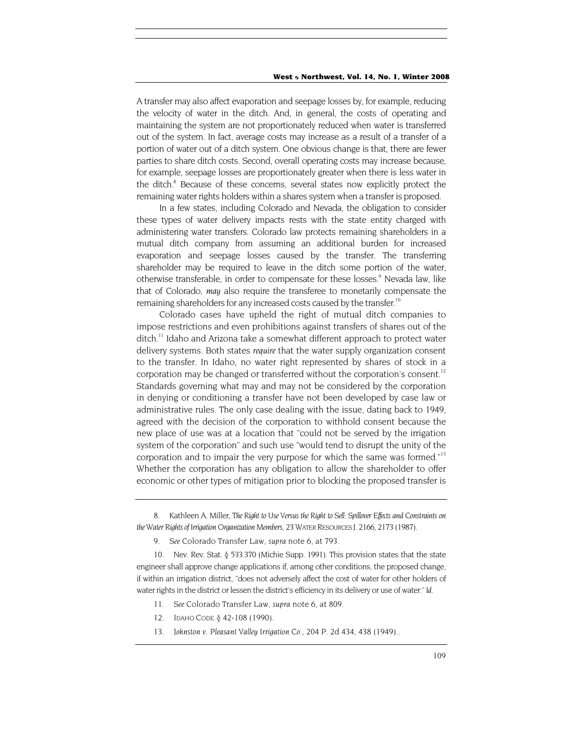A transfer may also affect evaporation and seepage losses by, for example, reducing the velocity of water in the ditch. And, in general, the costs of operating and maintaining the system are not proportionately reduced when water is transferred out of the system. In fact, average costs may increase as a result of a transfer of a portion of water out of a ditch system. One obvious change is that, there are fewer parties to share ditch costs. Second, overall operating costs may increase because, for example, seepage losses are proportionately greater when there is less water in the ditch.<sup>8</sup> Because of these concerns, several states now explicitly protect the remaining water rights holders within a shares system when a transfer is proposed.

In a few states, including Colorado and Nevada, the obligation to consider these types of water delivery impacts rests with the state entity charged with administering water transfers. Colorado law protects remaining shareholders in a mutual ditch company from assuming an additional burden for increased evaporation and seepage losses caused by the transfer. The transferring shareholder may be required to leave in the ditch some portion of the water, otherwise transferable, in order to compensate for these losses.<sup>9</sup> Nevada law, like that of Colorado, *may* also require the transferee to monetarily compensate the remaining shareholders for any increased costs caused by the transfer.<sup>10</sup>

Colorado cases have upheld the right of mutual ditch companies to impose restrictions and even prohibitions against transfers of shares out of the ditch.<sup>11</sup> Idaho and Arizona take a somewhat different approach to protect water delivery systems. Both states *require* that the water supply organization consent to the transfer. In Idaho, no water right represented by shares of stock in a corporation may be changed or transferred without the corporation's consent.<sup>12</sup> Standards governing what may and may not be considered by the corporation in denying or conditioning a transfer have not been developed by case law or administrative rules. The only case dealing with the issue, dating back to 1949, agreed with the decision of the corporation to withhold consent because the new place of use was at a location that "could not be served by the irrigation system of the corporation" and such use "would tend to disrupt the unity of the corporation and to impair the very purpose for which the same was formed."<sup>13</sup> Whether the corporation has any obligation to allow the shareholder to offer economic or other types of mitigation prior to blocking the proposed transfer is

9*. See* Colorado Transfer Law, *supra* note 6, at 793.

<span id="page-5-2"></span><span id="page-5-1"></span>10. Nev. Rev. Stat. § 533.370 (Michie Supp. 1991). This provision states that the state engineer shall approve change applications if, among other conditions, the proposed change, if within an irrigation district, "does not adversely affect the cost of water for other holders of water rights in the district or lessen the district's efficiency in its delivery or use of water." *Id.* 

- <span id="page-5-3"></span>11*. See* Colorado Transfer Law, *supra* note 6, at 809.
- <span id="page-5-4"></span>12. IDAHO CODE § 42-108 (1990).
- <span id="page-5-5"></span>13*. Johnston v. Pleasant Valley Irrigation Co.,* 204 P. 2d 434, 438 (1949)..

<span id="page-5-0"></span><sup>8.</sup> Kathleen A. Miller, *The Right to Use Versus the Right to Sell: Spillover Effects and Constraints on the Water Rights of Irrigation Organization Members,* 23 WATER RESOURCES J. 2166, 2173 (1987).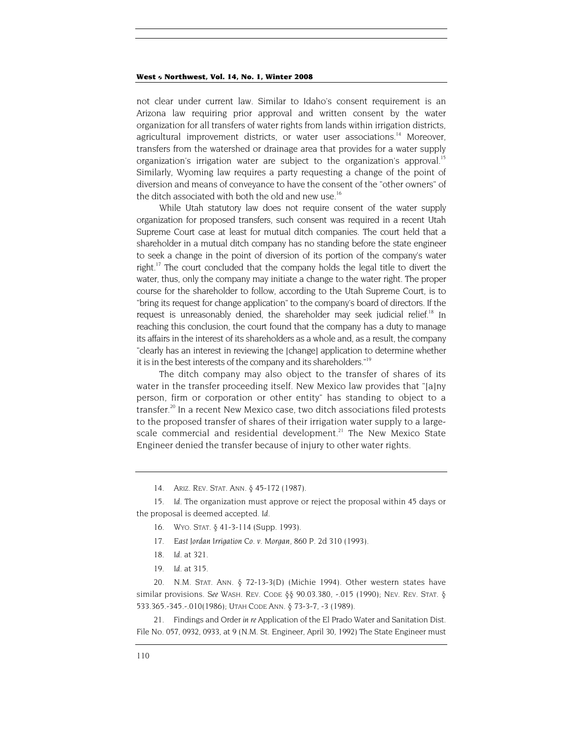<span id="page-6-7"></span>not clear under current law. Similar to Idaho's consent requirement is an Arizona law requiring prior approval and written consent by the water organization for all transfers of water rights from lands within irrigation districts, agricultural improvement districts, or water user associations.<sup>14</sup> Moreover, transfers from the watershed or drainage area that provides for a water supply organization's irrigation water are subject to the organization's approval.<sup>15</sup> Similarly, Wyoming law requires a party requesting a change of the point of diversion and means of conveyance to have the consent of the "other owners" of the ditch associated with both the old and new use.<sup>16</sup>

While Utah statutory law does not require consent of the water supply organization for proposed transfers, such consent was required in a recent Utah Supreme Court case at least for mutual ditch companies. The court held that a shareholder in a mutual ditch company has no standing before the state engineer to seek a change in the point of diversion of its portion of the company's water right.<sup>17</sup> The court concluded that the company holds the legal title to divert the water, thus, only the company may initiate a change to the water right. The proper course for the shareholder to follow, according to the Utah Supreme Court, is to "bring its request for change application" to the company's board of directors. If the request is unreasonably denied, the shareholder may seek judicial relief.<sup>18</sup> In reaching this conclusion, the court found that the company has a duty to manage its affairs in the interest of its shareholders as a whole and, as a result, the company "clearly has an interest in reviewing the [change] application to determine whether it is in the best interests of the company and its shareholders.["19](#page-6-5)

The ditch company may also object to the transfer of shares of its water in the transfer proceeding itself. New Mexico law provides that "[a]ny person, firm or corporation or other entity" has standing to object to a transfer.<sup>20</sup> In a recent New Mexico case, two ditch associations filed protests to the proposed transfer of shares of their irrigation water supply to a largescale commercial and residential development.<sup>21</sup> The New Mexico State Engineer denied the transfer because of injury to other water rights.

- <span id="page-6-2"></span>16. WYO. STAT. § 41-3-114 (Supp. 1993).
- <span id="page-6-3"></span>17*. East Jordan Irrigation Co. v. Morgan,* 860 P. 2d 310 (1993).
- <span id="page-6-4"></span>18*. Id.* at 321.
- 19*. Id.* at 315.

<span id="page-6-6"></span><span id="page-6-5"></span>20. N.M. STAT. ANN. § 72-13-3(D) (Michie 1994). Other western states have similar provisions. *See* WASH. REV. CODE §§ 90.03.380, -.015 (1990); NEV. REV. STAT. § 533.365.-345.-.010(1986); UTAH CODE ANN. § 73-3-7, -3 (1989).

21. Findings and Order *in re* Application of the El Prado Water and Sanitation Dist. File No. 057, 0932, 0933, at 9 (N.M. St. Engineer, April 30, 1992) The State Engineer must

<sup>14.</sup> ARIZ. REV. STAT. ANN. § 45-172 (1987).

<span id="page-6-1"></span><span id="page-6-0"></span><sup>15</sup>*. Id.* The organization must approve or reject the proposal within 45 days or the proposal is deemed accepted. *Id.*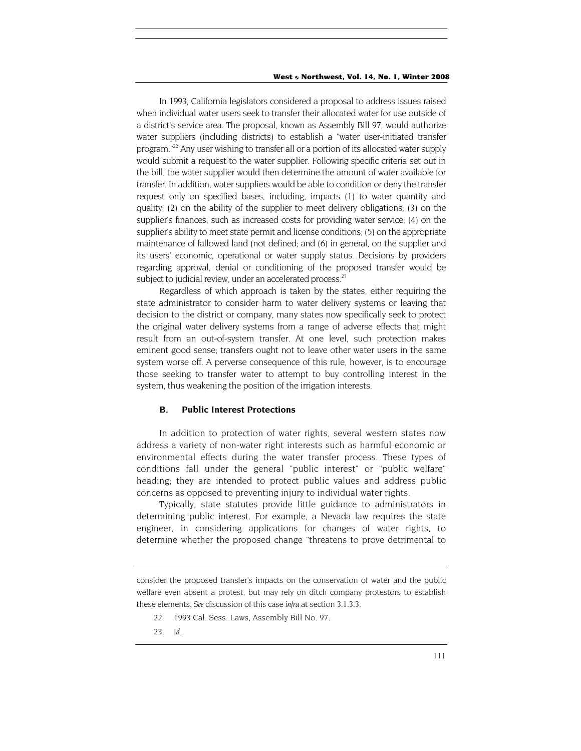In 1993, California legislators considered a proposal to address issues raised when individual water users seek to transfer their allocated water for use outside of a district's service area. The proposal, known as Assembly Bill 97, would authorize water suppliers (including districts) to establish a "water user-initiated transfer program.["22](#page-7-0) Any user wishing to transfer all or a portion of its allocated water supply would submit a request to the water supplier. Following specific criteria set out in the bill, the water supplier would then determine the amount of water available for transfer. In addition, water suppliers would be able to condition or deny the transfer request only on specified bases, including, impacts (1) to water quantity and quality; (2) on the ability of the supplier to meet delivery obligations; (3) on the supplier's finances, such as increased costs for providing water service; (4) on the supplier's ability to meet state permit and license conditions; (5) on the appropriate maintenance of fallowed land (not defined; and (6) in general, on the supplier and its users' economic, operational or water supply status. Decisions by providers regarding approval, denial or conditioning of the proposed transfer would be subject to judicial review, under an accelerated process.<sup>23</sup>

Regardless of which approach is taken by the states, either requiring the state administrator to consider harm to water delivery systems or leaving that decision to the district or company, many states now specifically seek to protect the original water delivery systems from a range of adverse effects that might result from an out-of-system transfer. At one level, such protection makes eminent good sense; transfers ought not to leave other water users in the same system worse off. A perverse consequence of this rule, however, is to encourage those seeking to transfer water to attempt to buy controlling interest in the system, thus weakening the position of the irrigation interests.

## **B. Public Interest Protections**

In addition to protection of water rights, several western states now address a variety of non-water right interests such as harmful economic or environmental effects during the water transfer process. These types of conditions fall under the general "public interest" or "public welfare" heading; they are intended to protect public values and address public concerns as opposed to preventing injury to individual water rights.

Typically, state statutes provide little guidance to administrators in determining public interest. For example, a Nevada law requires the state engineer, in considering applications for changes of water rights, to determine whether the proposed change "threatens to prove detrimental to

- <span id="page-7-0"></span>22. 1993 Cal. Sess. Laws, Assembly Bill No. 97.
- <span id="page-7-1"></span>23*. Id.*

consider the proposed transfer's impacts on the conservation of water and the public welfare even absent a protest, but may rely on ditch company protestors to establish these elements. *See* discussion of this case *infra* at section 3.1.3.3.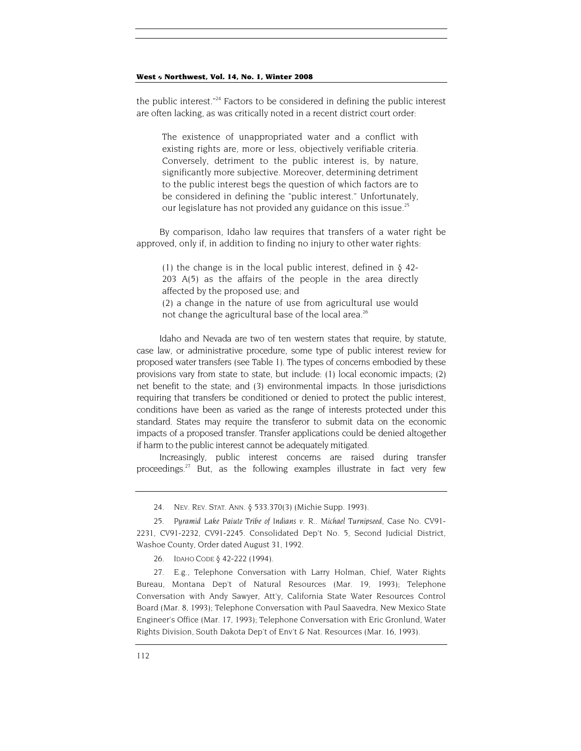the public interest."<sup>24</sup> Factors to be considered in defining the public interest are often lacking, as was critically noted in a recent district court order:

The existence of unappropriated water and a conflict with existing rights are, more or less, objectively verifiable criteria. Conversely, detriment to the public interest is, by nature, significantly more subjective. Moreover, determining detriment to the public interest begs the question of which factors are to be considered in defining the "public interest." Unfortunately, our legislature has not provided any guidance on this issue.<sup>25</sup>

By comparison, Idaho law requires that transfers of a water right be approved, only if, in addition to finding no injury to other water rights:

(1) the change is in the local public interest, defined in  $\delta$  42-203 A(5) as the affairs of the people in the area directly affected by the proposed use; and

(2) a change in the nature of use from agricultural use would not change the agricultural base of the local area.<sup>[26](#page-8-2)</sup>

Idaho and Nevada are two of ten western states that require, by statute, case law, or administrative procedure, some type of public interest review for proposed water transfers (see Table 1). The types of concerns embodied by these provisions vary from state to state, but include: (1) local economic impacts; (2) net benefit to the state; and (3) environmental impacts. In those jurisdictions requiring that transfers be conditioned or denied to protect the public interest, conditions have been as varied as the range of interests protected under this standard. States may require the transferor to submit data on the economic impacts of a proposed transfer. Transfer applications could be denied altogether if harm to the public interest cannot be adequately mitigated.

Increasingly, public interest concerns are raised during transfer proceedings.<sup>27</sup> But, as the following examples illustrate in fact very few

<span id="page-8-1"></span><span id="page-8-0"></span>25*. Pyramid Lake Paiute Tribe of Indians v. R.. Michael Turnipseed,* Case No. CV91- 2231, CV91-2232, CV91-2245. Consolidated Dep't No. 5, Second Judicial District, Washoe County, Order dated August 31, 1992.

<span id="page-8-2"></span>26. IDAHO CODE § 42-222 (1994).

<span id="page-8-3"></span>27. E.g., Telephone Conversation with Larry Holman, Chief, Water Rights Bureau, Montana Dep't of Natural Resources (Mar. 19, 1993); Telephone Conversation with Andy Sawyer, Att'y, California State Water Resources Control Board (Mar. 8, 1993); Telephone Conversation with Paul Saavedra, New Mexico State Engineer's Office (Mar. 17, 1993); Telephone Conversation with Eric Gronlund, Water Rights Division, South Dakota Dep't of Env't & Nat. Resources (Mar. 16, 1993).

<sup>24.</sup> NEV. REV. STAT. ANN. § 533.370(3) (Michie Supp. 1993).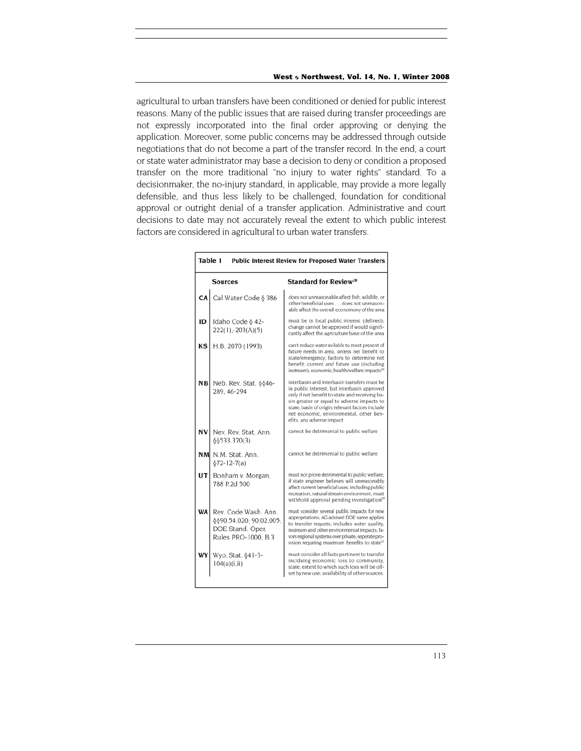agricultural to urban transfers have been conditioned or denied for public interest reasons. Many of the public issues that are raised during transfer proceedings are not expressly incorporated into the final order approving or denying the application. Moreover, some public concerns may be addressed through outside negotiations that do not become a part of the transfer record. In the end, a court or state water administrator may base a decision to deny or condition a proposed transfer on the more traditional "no injury to water rights" standard. To a decisionmaker, the no-injury standard, in applicable, may provide a more legally defensible, and thus less likely to be challenged, foundation for conditional approval or outright denial of a transfer application. Administrative and court decisions to date may not accurately reveal the extent to which public interest factors are considered in agricultural to urban water transfers.

г

| Table 1<br><b>Public Interest Review for Proposed Water Transfers</b> |                                                                                                      |                                                                                                                                                                                                                                                                                                                        |
|-----------------------------------------------------------------------|------------------------------------------------------------------------------------------------------|------------------------------------------------------------------------------------------------------------------------------------------------------------------------------------------------------------------------------------------------------------------------------------------------------------------------|
|                                                                       | <b>Sources</b>                                                                                       | <b>Standard for Review<sup>28</sup></b>                                                                                                                                                                                                                                                                                |
|                                                                       | <b>CA</b> Cal Water Code $\delta$ 386                                                                | does not unreasonable affect fish, wildlife, or<br>other beneficial uses does not unreason-<br>able affect the overall economony of the area                                                                                                                                                                           |
| ID                                                                    | Idaho Code § 42-<br>222(1), -203(A)(5)                                                               | must be in local public interest (defined);<br>change cannot be approved if would signifi-<br>cantly affect the agriculture base of the area                                                                                                                                                                           |
| KS                                                                    | H.B. 2070 (1993)                                                                                     | can't reduce water avilable to meet present of<br>future needs in area, unless net benefit to<br>state/emergency: factors to determine net<br>benefit: current and future use (including<br>instream), economic, health/welfare impacts <sup>29</sup>                                                                  |
|                                                                       | $NB$ Neb. Rev. Stat. §§46-<br>289.46-294                                                             | interbasin and interbasin transfers must be<br>in public interest, but interbasin approved<br>only if net benefit to state and receiving ba-<br>sin greater or equal to adverse impacts to<br>state, basin of origin; relevant factors include<br>net economic, environmental, other ben-<br>efits, any adverse impact |
|                                                                       | NV Nev. Rev. Stat. Ann.<br>88533.370(3)                                                              | cannot be detrimental to public welfare                                                                                                                                                                                                                                                                                |
|                                                                       | NM N.M. Stat. Ann.<br>$§72-12-7(a)$                                                                  | cannot be detrimental to public welfare                                                                                                                                                                                                                                                                                |
|                                                                       | UT Bonham v. Morgan,<br>788 P.2d 500                                                                 | must not prove detrimental to public welfare:<br>if state engineer believes will unreasonably<br>affect current beneficial uses, including public<br>recreation, natural stream environment, must<br>withhold approval pending investigation <sup>30</sup>                                                             |
|                                                                       | <b>WA</b> Rev. Code Wash. Ann.<br>§§90.54.020; 90.02.005;<br>DOE Stand. Oper.<br>Rules PRO-1000, B.3 | must consider several public impacts for new<br>appropriations; AG advised DOE same applies<br>to transfer requets; includes water quality,<br>instream and other environmental impacts; fa-<br>vors regional systems over private; seperate pro-<br>vision requiring maximum benefits to state <sup>31</sup>          |
| WY l                                                                  | Wyo. Stat. §41-3-<br>104(a)(i, ii)                                                                   | must consider all facts pertinent to transfer<br>inclduing economic loss to community,<br>state; extent to which such loss will be off-<br>set by new use; availability of other sources.                                                                                                                              |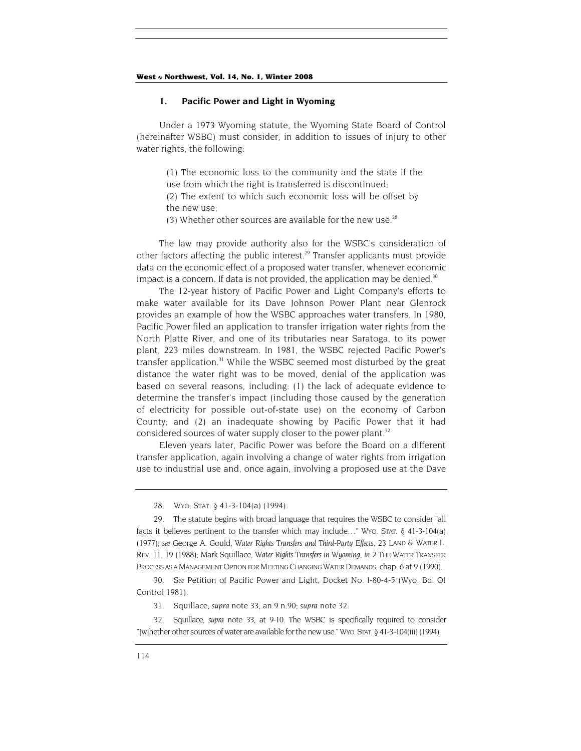#### **1. Pacific Power and Light in Wyoming**

Under a 1973 Wyoming statute, the Wyoming State Board of Control (hereinafter WSBC) must consider, in addition to issues of injury to other water rights, the following:

(1) The economic loss to the community and the state if the use from which the right is transferred is discontinued; (2) The extent to which such economic loss will be offset by the new use;

(3) Whether other sources are available for the new use.<sup>28</sup>

The law may provide authority also for the WSBC's consideration of other factors affecting the public interest.<sup>29</sup> Transfer applicants must provide data on the economic effect of a proposed water transfer, whenever economic impact is a concern. If data is not provided, the application may be denied.<sup>30</sup>

The 12-year history of Pacific Power and Light Company's efforts to make water available for its Dave Johnson Power Plant near Glenrock provides an example of how the WSBC approaches water transfers. In 1980, Pacific Power filed an application to transfer irrigation water rights from the North Platte River, and one of its tributaries near Saratoga, to its power plant, 223 miles downstream. In 1981, the WSBC rejected Pacific Power's transfer application.<sup>31</sup> While the WSBC seemed most disturbed by the great distance the water right was to be moved, denial of the application was based on several reasons, including: (1) the lack of adequate evidence to determine the transfer's impact (including those caused by the generation of electricity for possible out-of-state use) on the economy of Carbon County; and (2) an inadequate showing by Pacific Power that it had considered sources of water supply closer to the power plant.<sup>[32](#page-10-4)</sup>

Eleven years later, Pacific Power was before the Board on a different transfer application, again involving a change of water rights from irrigation use to industrial use and, once again, involving a proposed use at the Dave

<span id="page-10-0"></span>28. WYO. STAT. § 41-3-104(a) (1994).

<span id="page-10-1"></span>29. The statute begins with broad language that requires the WSBC to consider "all facts it believes pertinent to the transfer which may include…" WYO. STAT. § 41-3-104(a) (1977); *see* George A. Gould, *Water Rights Transfers and Third-Party Effects,* 23 LAND & WATER L. REV. 11, 19 (1988); Mark Squillace, *Water Rights Transfers in Wyoming, in* 2 THE WATER TRANSFER PROCESS AS A MANAGEMENT OPTION FOR MEETING CHANGING WATER DEMANDS, chap. 6 at 9 (1990).

<span id="page-10-2"></span>30*. See* Petition of Pacific Power and Light, Docket No. I-80-4-5 (Wyo. Bd. Of Control 1981).

31. Squillace, *supra* note 33, an 9 n.90; *supra* note 32.

<span id="page-10-4"></span><span id="page-10-3"></span>32. Squillace, *supra* note 33, at 9-10. The WSBC is specifically required to consider "[w]hether other sources of water are available for the new use." WYO. STAT. § 41-3-104(iii) (1994).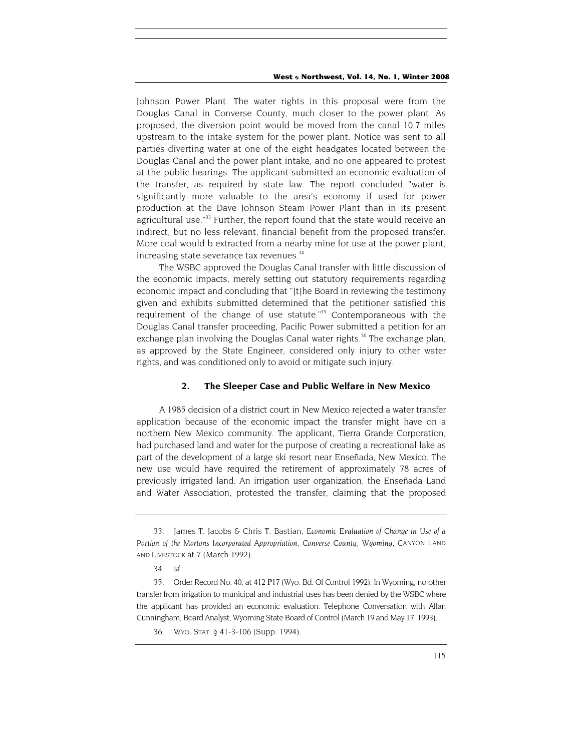Johnson Power Plant. The water rights in this proposal were from the Douglas Canal in Converse County, much closer to the power plant. As proposed, the diversion point would be moved from the canal 10.7 miles upstream to the intake system for the power plant. Notice was sent to all parties diverting water at one of the eight headgates located between the Douglas Canal and the power plant intake, and no one appeared to protest at the public hearings. The applicant submitted an economic evaluation of the transfer, as required by state law. The report concluded "water is significantly more valuable to the area's economy if used for power production at the Dave Johnson Steam Power Plant than in its present agricultural use."<sup>33</sup> Further, the report found that the state would receive an indirect, but no less relevant, financial benefit from the proposed transfer. More coal would b extracted from a nearby mine for use at the power plant, increasing state severance tax revenues.<sup>[34](#page-11-1)</sup>

The WSBC approved the Douglas Canal transfer with little discussion of the economic impacts, merely setting out statutory requirements regarding economic impact and concluding that "[t]he Board in reviewing the testimony given and exhibits submitted determined that the petitioner satisfied this requirement of the change of use statute."<sup>35</sup> Contemporaneous with the Douglas Canal transfer proceeding, Pacific Power submitted a petition for an exchange plan involving the Douglas Canal water rights.<sup>36</sup> The exchange plan, as approved by the State Engineer, considered only injury to other water rights, and was conditioned only to avoid or mitigate such injury.

#### **2. The Sleeper Case and Public Welfare in New Mexico**

A 1985 decision of a district court in New Mexico rejected a water transfer application because of the economic impact the transfer might have on a northern New Mexico community. The applicant, Tierra Grande Corporation, had purchased land and water for the purpose of creating a recreational lake as part of the development of a large ski resort near Enseñada, New Mexico. The new use would have required the retirement of approximately 78 acres of previously irrigated land. An irrigation user organization, the Enseñada Land and Water Association, protested the transfer, claiming that the proposed

<span id="page-11-0"></span><sup>33.</sup> James T. Jacobs & Chris T. Bastian, *Economic Evaluation of Change in Use of a* Portion of the Mortons Incorporated Appropriation, Converse County, Wyoming, CANYON LAND AND LIVESTOCK at 7 (March 1992).

<span id="page-11-1"></span><sup>34</sup>*. Id.*

<span id="page-11-2"></span><sup>35.</sup> Order Record No. 40, at 412 Ρ17 (Wyo. Bd. Of Control 1992). In Wyoming, no other transfer from irrigation to municipal and industrial uses has been denied by the WSBC where the applicant has provided an economic evaluation. Telephone Conversation with Allan Cunningham, Board Analyst, Wyoming State Board of Control (March 19 and May 17, 1993).

<span id="page-11-3"></span><sup>36.</sup> WYO. STAT. § 41-3-106 (Supp. 1994).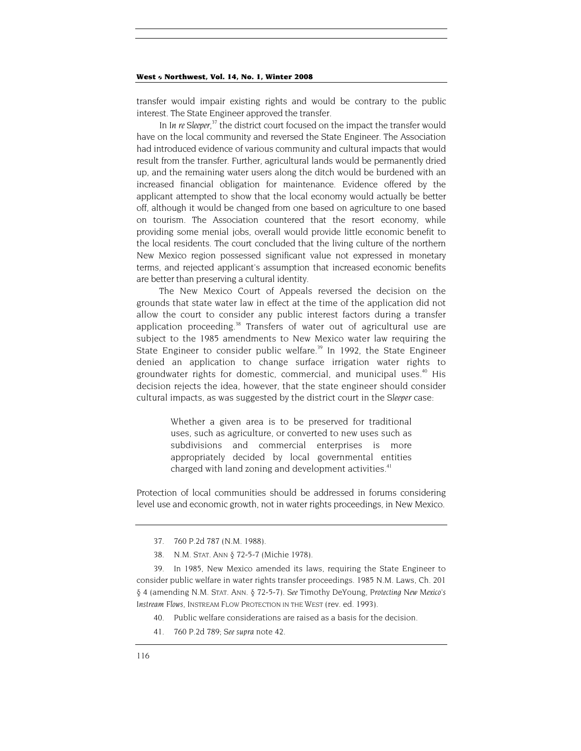transfer would impair existing rights and would be contrary to the public interest. The State Engineer approved the transfer.

In In re Sleeper,<sup>37</sup> the district court focused on the impact the transfer would have on the local community and reversed the State Engineer. The Association had introduced evidence of various community and cultural impacts that would result from the transfer. Further, agricultural lands would be permanently dried up, and the remaining water users along the ditch would be burdened with an increased financial obligation for maintenance. Evidence offered by the applicant attempted to show that the local economy would actually be better off, although it would be changed from one based on agriculture to one based on tourism. The Association countered that the resort economy, while providing some menial jobs, overall would provide little economic benefit to the local residents. The court concluded that the living culture of the northern New Mexico region possessed significant value not expressed in monetary terms, and rejected applicant's assumption that increased economic benefits are better than preserving a cultural identity.

The New Mexico Court of Appeals reversed the decision on the grounds that state water law in effect at the time of the application did not allow the court to consider any public interest factors during a transfer application proceeding.<sup>38</sup> Transfers of water out of agricultural use are subject to the 1985 amendments to New Mexico water law requiring the State Engineer to consider public welfare.<sup>39</sup> In 1992, the State Engineer denied an application to change surface irrigation water rights to groundwater rights for domestic, commercial, and municipal uses.<sup>40</sup> His decision rejects the idea, however, that the state engineer should consider cultural impacts, as was suggested by the district court in the *Sleeper* case:

> Whether a given area is to be preserved for traditional uses, such as agriculture, or converted to new uses such as subdivisions and commercial enterprises is more appropriately decided by local governmental entities charged with land zoning and development activities.<sup>[41](#page-12-4)</sup>

Protection of local communities should be addressed in forums considering level use and economic growth, not in water rights proceedings, in New Mexico.

- <span id="page-12-3"></span>40. Public welfare considerations are raised as a basis for the decision.
- <span id="page-12-4"></span>41. 760 P.2d 789; *See supra* note 42.

<span id="page-12-0"></span><sup>37. 760</sup> P.2d 787 (N.M. 1988).

<sup>38.</sup> N.M. STAT. ANN § 72-5-7 (Michie 1978).

<span id="page-12-2"></span><span id="page-12-1"></span><sup>39.</sup> In 1985, New Mexico amended its laws, requiring the State Engineer to consider public welfare in water rights transfer proceedings. 1985 N.M. Laws, Ch. 201 § 4 (amending N.M. STAT. ANN. § 72-5-7). *See* Timothy DeYoung, *Protecting New Mexico's Instream Flows,* INSTREAM FLOW PROTECTION IN THE WEST (rev. ed. 1993).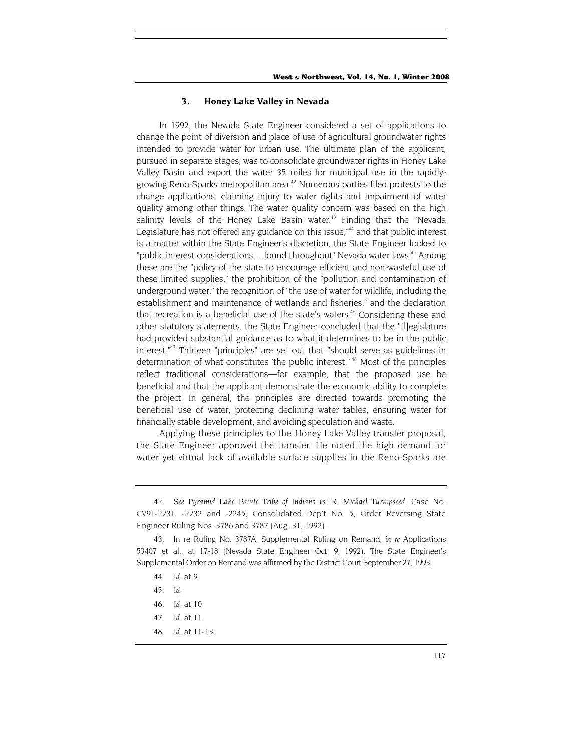#### **3. Honey Lake Valley in Nevada**

In 1992, the Nevada State Engineer considered a set of applications to change the point of diversion and place of use of agricultural groundwater rights intended to provide water for urban use. The ultimate plan of the applicant, pursued in separate stages, was to consolidate groundwater rights in Honey Lake Valley Basin and export the water 35 miles for municipal use in the rapidlygrowing Reno-Sparks metropolitan area.<sup>42</sup> Numerous parties filed protests to the change applications, claiming injury to water rights and impairment of water quality among other things. The water quality concern was based on the high salinity levels of the Honey Lake Basin water.<sup>43</sup> Finding that the "Nevada Legislature has not offered any guidance on this issue,"<sup>44</sup> and that public interest is a matter within the State Engineer's discretion, the State Engineer looked to "public interest considerations. . .found throughout" Nevada water laws.<sup>45</sup> Among these are the "policy of the state to encourage efficient and non-wasteful use of these limited supplies," the prohibition of the "pollution and contamination of underground water," the recognition of "the use of water for wildlife, including the establishment and maintenance of wetlands and fisheries," and the declaration that recreation is a beneficial use of the state's waters.<sup>46</sup> Considering these and other statutory statements, the State Engineer concluded that the "[l]egislature had provided substantial guidance as to what it determines to be in the public interest.["47](#page-13-5) Thirteen "principles" are set out that "should serve as guidelines in determination of what constitutes 'the public interest.'"[48](#page-13-6) Most of the principles reflect traditional considerations—for example, that the proposed use be beneficial and that the applicant demonstrate the economic ability to complete the project. In general, the principles are directed towards promoting the beneficial use of water, protecting declining water tables, ensuring water for financially stable development, and avoiding speculation and waste.

Applying these principles to the Honey Lake Valley transfer proposal, the State Engineer approved the transfer. He noted the high demand for water yet virtual lack of available surface supplies in the Reno-Sparks are

<span id="page-13-0"></span><sup>42</sup>*. See Pyramid Lake Paiute Tribe of Indians vs. R. Michael Turnipseed,* Case No. CV91-2231, -2232 and -2245, Consolidated Dep't No. 5, Order Reversing State Engineer Ruling Nos. 3786 and 3787 (Aug. 31, 1992).

<span id="page-13-1"></span><sup>43.</sup> In re Ruling No. 3787A, Supplemental Ruling on Remand, *in re* Applications 53407 et al., at 17-18 (Nevada State Engineer Oct. 9, 1992). The State Engineer's Supplemental Order on Remand was affirmed by the District Court September 27, 1993.

<span id="page-13-2"></span><sup>44</sup>*. Id.* at 9.

<span id="page-13-3"></span><sup>45</sup>*. Id.*

<span id="page-13-4"></span><sup>46</sup>*. Id.* at 10.

<span id="page-13-5"></span><sup>47</sup>*. Id.* at 11.

<span id="page-13-6"></span><sup>48</sup>*. Id.* at 11-13.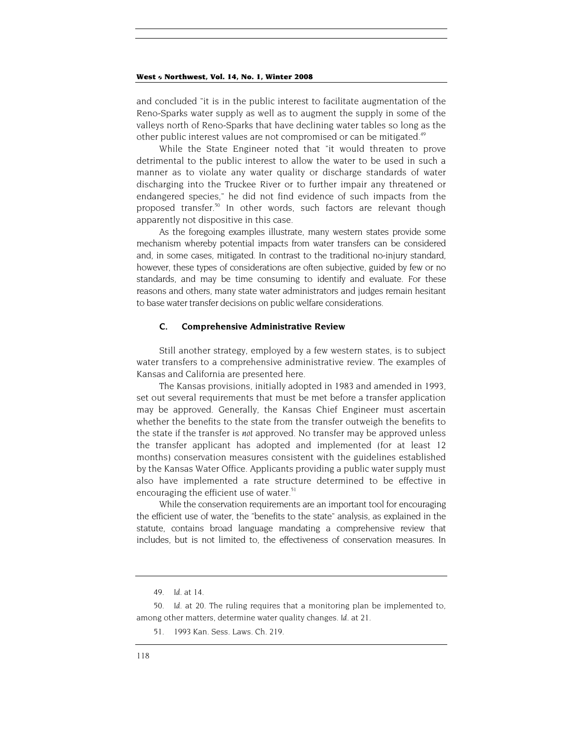and concluded "it is in the public interest to facilitate augmentation of the Reno-Sparks water supply as well as to augment the supply in some of the valleys north of Reno-Sparks that have declining water tables so long as the other public interest values are not compromised or can be mitigated.<sup>49</sup>

While the State Engineer noted that "it would threaten to prove detrimental to the public interest to allow the water to be used in such a manner as to violate any water quality or discharge standards of water discharging into the Truckee River or to further impair any threatened or endangered species," he did not find evidence of such impacts from the proposed transfer.<sup>50</sup> In other words, such factors are relevant though apparently not dispositive in this case.

As the foregoing examples illustrate, many western states provide some mechanism whereby potential impacts from water transfers can be considered and, in some cases, mitigated. In contrast to the traditional no-injury standard, however, these types of considerations are often subjective, guided by few or no standards, and may be time consuming to identify and evaluate. For these reasons and others, many state water administrators and judges remain hesitant to base water transfer decisions on public welfare considerations.

#### **C. Comprehensive Administrative Review**

Still another strategy, employed by a few western states, is to subject water transfers to a comprehensive administrative review. The examples of Kansas and California are presented here.

The Kansas provisions, initially adopted in 1983 and amended in 1993, set out several requirements that must be met before a transfer application may be approved. Generally, the Kansas Chief Engineer must ascertain whether the benefits to the state from the transfer outweigh the benefits to the state if the transfer is *not* approved. No transfer may be approved unless the transfer applicant has adopted and implemented (for at least 12 months) conservation measures consistent with the guidelines established by the Kansas Water Office. Applicants providing a public water supply must also have implemented a rate structure determined to be effective in encouraging the efficient use of water. $51$ 

While the conservation requirements are an important tool for encouraging the efficient use of water, the "benefits to the state" analysis, as explained in the statute, contains broad language mandating a comprehensive review that includes, but is not limited to, the effectiveness of conservation measures. In

<span id="page-14-0"></span><sup>49</sup>*. Id.* at 14.

<span id="page-14-1"></span><sup>50</sup>*. Id.* at 20. The ruling requires that a monitoring plan be implemented to, among other matters, determine water quality changes. *Id.* at 21.

<span id="page-14-2"></span><sup>51. 1993</sup> Kan. Sess. Laws. Ch. 219.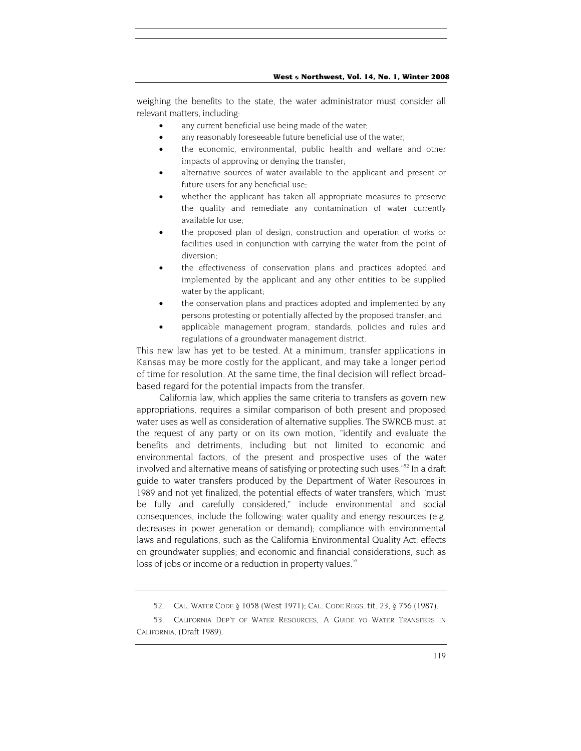weighing the benefits to the state, the water administrator must consider all relevant matters, including:

- any current beneficial use being made of the water;
- any reasonably foreseeable future beneficial use of the water;
- the economic, environmental, public health and welfare and other impacts of approving or denying the transfer;
- alternative sources of water available to the applicant and present or future users for any beneficial use;
- whether the applicant has taken all appropriate measures to preserve the quality and remediate any contamination of water currently available for use;
- the proposed plan of design, construction and operation of works or facilities used in conjunction with carrying the water from the point of diversion;
- the effectiveness of conservation plans and practices adopted and implemented by the applicant and any other entities to be supplied water by the applicant;
- the conservation plans and practices adopted and implemented by any persons protesting or potentially affected by the proposed transfer; and
- applicable management program, standards, policies and rules and regulations of a groundwater management district.

This new law has yet to be tested. At a minimum, transfer applications in Kansas may be more costly for the applicant, and may take a longer period of time for resolution. At the same time, the final decision will reflect broadbased regard for the potential impacts from the transfer.

California law, which applies the same criteria to transfers as govern new appropriations, requires a similar comparison of both present and proposed water uses as well as consideration of alternative supplies. The SWRCB must, at the request of any party or on its own motion, "identify and evaluate the benefits and detriments, including but not limited to economic and environmental factors, of the present and prospective uses of the water involved and alternative means of satisfying or protecting such uses."<sup>52</sup> In a draft guide to water transfers produced by the Department of Water Resources in 1989 and not yet finalized, the potential effects of water transfers, which "must be fully and carefully considered," include environmental and social consequences, include the following: water quality and energy resources (e.g. decreases in power generation or demand); compliance with environmental laws and regulations, such as the California Environmental Quality Act; effects on groundwater supplies; and economic and financial considerations, such as loss of jobs or income or a reduction in property values.<sup>53</sup>

<sup>52.</sup> CAL. WATER CODE § 1058 (West 1971); CAL. CODE REGS. tit. 23, § 756 (1987).

<span id="page-15-1"></span><span id="page-15-0"></span><sup>53.</sup> CALIFORNIA DEP'T OF WATER RESOURCES, A GUIDE YO WATER TRANSFERS IN CALIFORNIA, (Draft 1989).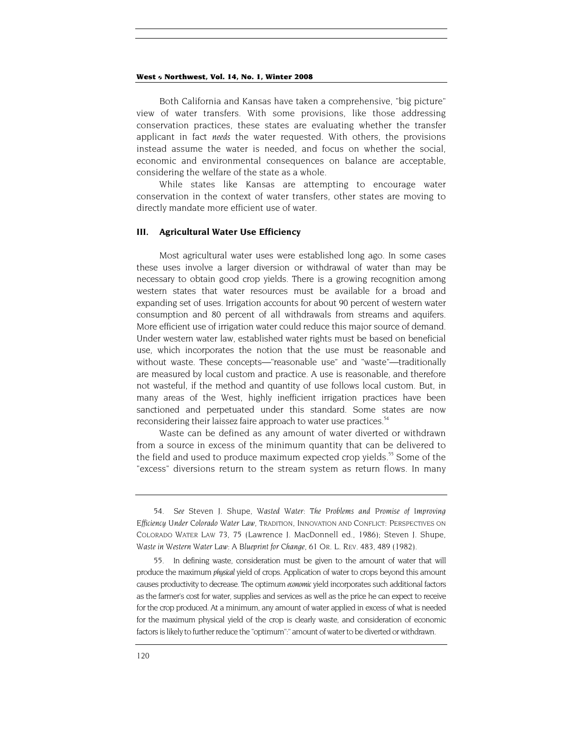Both California and Kansas have taken a comprehensive, "big picture" view of water transfers. With some provisions, like those addressing conservation practices, these states are evaluating whether the transfer applicant in fact *needs* the water requested. With others, the provisions instead assume the water is needed, and focus on whether the social, economic and environmental consequences on balance are acceptable, considering the welfare of the state as a whole.

While states like Kansas are attempting to encourage water conservation in the context of water transfers, other states are moving to directly mandate more efficient use of water.

#### **III. Agricultural Water Use Efficiency**

Most agricultural water uses were established long ago. In some cases these uses involve a larger diversion or withdrawal of water than may be necessary to obtain good crop yields. There is a growing recognition among western states that water resources must be available for a broad and expanding set of uses. Irrigation accounts for about 90 percent of western water consumption and 80 percent of all withdrawals from streams and aquifers. More efficient use of irrigation water could reduce this major source of demand. Under western water law, established water rights must be based on beneficial use, which incorporates the notion that the use must be reasonable and without waste. These concepts—"reasonable use" and "waste"—traditionally are measured by local custom and practice. A use is reasonable, and therefore not wasteful, if the method and quantity of use follows local custom. But, in many areas of the West, highly inefficient irrigation practices have been sanctioned and perpetuated under this standard. Some states are now reconsidering their laissez faire approach to water use practices.<sup>54</sup>

Waste can be defined as any amount of water diverted or withdrawn from a source in excess of the minimum quantity that can be delivered to the field and used to produce maximum expected crop yields.<sup>55</sup> Some of the "excess" diversions return to the stream system as return flows. In many

<span id="page-16-0"></span><sup>54</sup>*. See* Steven J. Shupe, *Wasted Water: The Problems and Promise of Improving Efficiency Under Colorado Water Law,* TRADITION, INNOVATION AND CONFLICT: PERSPECTIVES ON COLORADO WATER LAW 73, 75 (Lawrence J. MacDonnell ed., 1986); Steven J. Shupe, *Waste in Western Water Law: A Blueprint for Change, 61* OR. L. REV. 483, 489 (1982).

<span id="page-16-1"></span>In defining waste, consideration must be given to the amount of water that will produce the maximum *physical* yield of crops. Application of water to crops beyond this amount causes productivity to decrease. The optimum *economic* yield incorporates such additional factors as the farmer's cost for water, supplies and services as well as the price he can expect to receive for the crop produced. At a minimum, any amount of water applied in excess of what is needed for the maximum physical yield of the crop is clearly waste, and consideration of economic factors is likely to further reduce the "optimum":" amount of water to be diverted or withdrawn.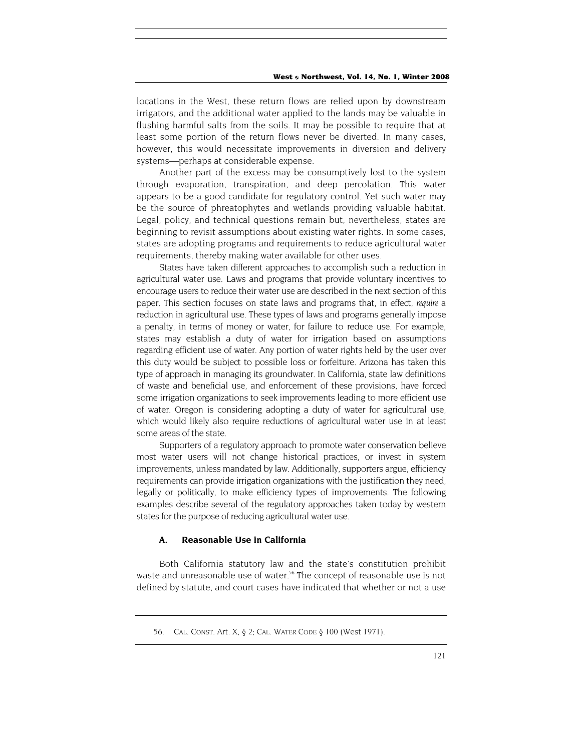locations in the West, these return flows are relied upon by downstream irrigators, and the additional water applied to the lands may be valuable in flushing harmful salts from the soils. It may be possible to require that at least some portion of the return flows never be diverted. In many cases, however, this would necessitate improvements in diversion and delivery systems—perhaps at considerable expense.

Another part of the excess may be consumptively lost to the system through evaporation, transpiration, and deep percolation. This water appears to be a good candidate for regulatory control. Yet such water may be the source of phreatophytes and wetlands providing valuable habitat. Legal, policy, and technical questions remain but, nevertheless, states are beginning to revisit assumptions about existing water rights. In some cases, states are adopting programs and requirements to reduce agricultural water requirements, thereby making water available for other uses.

States have taken different approaches to accomplish such a reduction in agricultural water use. Laws and programs that provide voluntary incentives to encourage users to reduce their water use are described in the next section of this paper. This section focuses on state laws and programs that, in effect, *require* a reduction in agricultural use. These types of laws and programs generally impose a penalty, in terms of money or water, for failure to reduce use. For example, states may establish a duty of water for irrigation based on assumptions regarding efficient use of water. Any portion of water rights held by the user over this duty would be subject to possible loss or forfeiture. Arizona has taken this type of approach in managing its groundwater. In California, state law definitions of waste and beneficial use, and enforcement of these provisions, have forced some irrigation organizations to seek improvements leading to more efficient use of water. Oregon is considering adopting a duty of water for agricultural use, which would likely also require reductions of agricultural water use in at least some areas of the state.

Supporters of a regulatory approach to promote water conservation believe most water users will not change historical practices, or invest in system improvements, unless mandated by law. Additionally, supporters argue, efficiency requirements can provide irrigation organizations with the justification they need, legally or politically, to make efficiency types of improvements. The following examples describe several of the regulatory approaches taken today by western states for the purpose of reducing agricultural water use.

#### **A. Reasonable Use in California**

Both California statutory law and the state's constitution prohibit waste and unreasonable use of water.<sup>56</sup> The concept of reasonable use is not defined by statute, and court cases have indicated that whether or not a use

<span id="page-17-0"></span><sup>56.</sup> CAL. CONST. Art. X, § 2; CAL. WATER CODE § 100 (West 1971).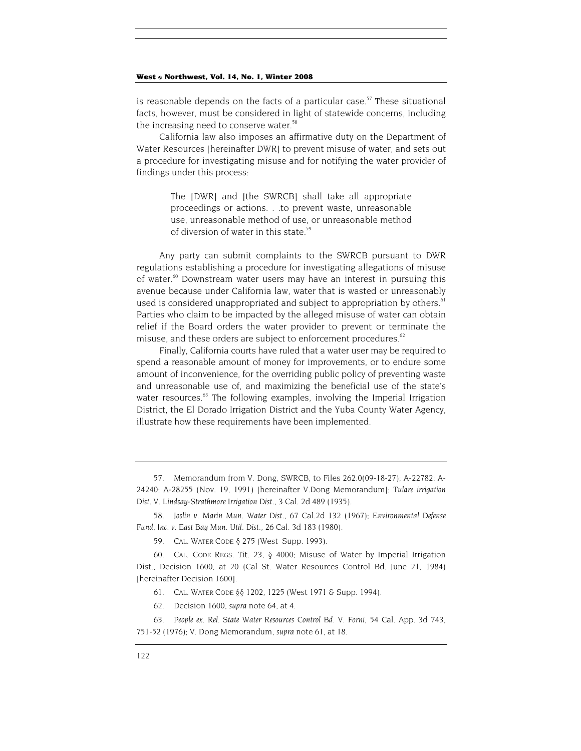is reasonable depends on the facts of a particular case.<sup>57</sup> These situational facts, however, must be considered in light of statewide concerns, including the increasing need to conserve water.<sup>58</sup>

California law also imposes an affirmative duty on the Department of Water Resources [hereinafter DWR] to prevent misuse of water, and sets out a procedure for investigating misuse and for notifying the water provider of findings under this process:

> The [DWR] and [the SWRCB] shall take all appropriate proceedings or actions. . .to prevent waste, unreasonable use, unreasonable method of use, or unreasonable method of diversion of water in this state.<sup>[59](#page-18-2)</sup>

Any party can submit complaints to the SWRCB pursuant to DWR regulations establishing a procedure for investigating allegations of misuse of water.<sup>60</sup> Downstream water users may have an interest in pursuing this avenue because under California law, water that is wasted or unreasonably used is considered unappropriated and subject to appropriation by others.<sup>61</sup> Parties who claim to be impacted by the alleged misuse of water can obtain relief if the Board orders the water provider to prevent or terminate the misuse, and these orders are subject to enforcement procedures.<sup>62</sup>

Finally, California courts have ruled that a water user may be required to spend a reasonable amount of money for improvements, or to endure some amount of inconvenience, for the overriding public policy of preventing waste and unreasonable use of, and maximizing the beneficial use of the state's water resources.<sup>63</sup> The following examples, involving the Imperial Irrigation District, the El Dorado Irrigation District and the Yuba County Water Agency, illustrate how these requirements have been implemented.

<span id="page-18-0"></span>57. Memorandum from V. Dong, SWRCB, to Files 262.0(09-18-27); A-22782; A-24240; A-28255 (Nov. 19, 1991) [hereinafter V.Dong Memorandum]; *Tulare irrigation Dist. V. Lindsay-Strathmore Irrigation Dist.,* 3 Cal. 2d 489 (1935).

<span id="page-18-1"></span>58*. Joslin v. Marin Mun. Water Dist.,* 67 Cal.2d 132 (1967); *Environmental Defense Fund, Inc. v. East Bay Mun. Util. Dist.,* 26 Cal. 3d 183 (1980).

<span id="page-18-2"></span>59. CAL. WATER CODE § 275 (West Supp. 1993).

<span id="page-18-3"></span>60. CAL. CODE REGS. Tit. 23, § 4000; Misuse of Water by Imperial Irrigation Dist., Decision 1600, at 20 (Cal St. Water Resources Control Bd. June 21, 1984) [hereinafter Decision 1600].

<span id="page-18-4"></span>61. CAL. WATER CODE §§ 1202, 1225 (West 1971 & Supp. 1994).

<span id="page-18-5"></span>62. Decision 1600, *supra* note 64, at 4.

<span id="page-18-6"></span>63*. People ex. Rel. State Water Resources Control Bd. V. Forni, 54* Cal. App. 3d 743, 751-52 (1976); V. Dong Memorandum, *supra* note 61, at 18.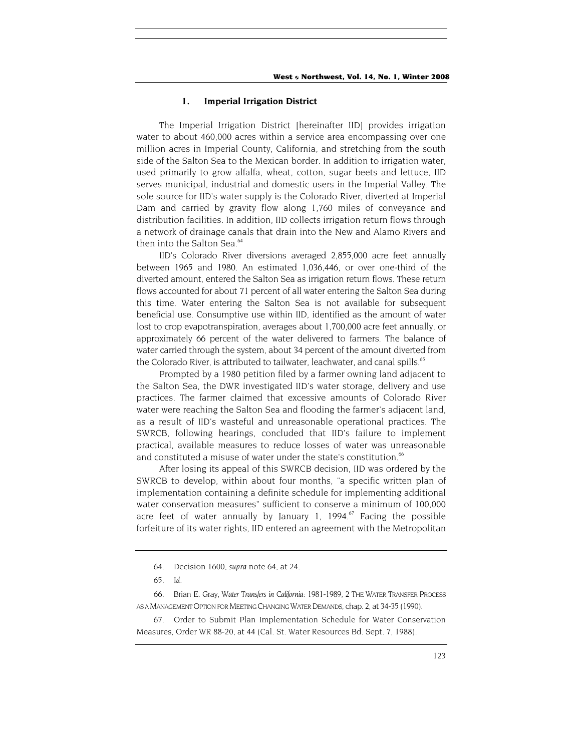#### **1. Imperial Irrigation District**

The Imperial Irrigation District [hereinafter IID] provides irrigation water to about 460,000 acres within a service area encompassing over one million acres in Imperial County, California, and stretching from the south side of the Salton Sea to the Mexican border. In addition to irrigation water, used primarily to grow alfalfa, wheat, cotton, sugar beets and lettuce, IID serves municipal, industrial and domestic users in the Imperial Valley. The sole source for IID's water supply is the Colorado River, diverted at Imperial Dam and carried by gravity flow along 1,760 miles of conveyance and distribution facilities. In addition, IID collects irrigation return flows through a network of drainage canals that drain into the New and Alamo Rivers and then into the Salton Sea.<sup>64</sup>

IID's Colorado River diversions averaged 2,855,000 acre feet annually between 1965 and 1980. An estimated 1,036,446, or over one-third of the diverted amount, entered the Salton Sea as irrigation return flows. These return flows accounted for about 71 percent of all water entering the Salton Sea during this time. Water entering the Salton Sea is not available for subsequent beneficial use. Consumptive use within IID, identified as the amount of water lost to crop evapotranspiration, averages about 1,700,000 acre feet annually, or approximately 66 percent of the water delivered to farmers. The balance of water carried through the system, about 34 percent of the amount diverted from the Colorado River, is attributed to tailwater, leachwater, and canal spills.<sup>[65](#page-19-1)</sup>

Prompted by a 1980 petition filed by a farmer owning land adjacent to the Salton Sea, the DWR investigated IID's water storage, delivery and use practices. The farmer claimed that excessive amounts of Colorado River water were reaching the Salton Sea and flooding the farmer's adjacent land, as a result of IID's wasteful and unreasonable operational practices. The SWRCB, following hearings, concluded that IID's failure to implement practical, available measures to reduce losses of water was unreasonable and constituted a misuse of water under the state's constitution.<sup>66</sup>

After losing its appeal of this SWRCB decision, IID was ordered by the SWRCB to develop, within about four months, "a specific written plan of implementation containing a definite schedule for implementing additional water conservation measures" sufficient to conserve a minimum of 100,000 acre feet of water annually by January 1,  $1994$ .<sup>67</sup> Facing the possible forfeiture of its water rights, IID entered an agreement with the Metropolitan

<span id="page-19-3"></span>67. Order to Submit Plan Implementation Schedule for Water Conservation Measures, Order WR 88-20, at 44 (Cal. St. Water Resources Bd. Sept. 7, 1988).

<span id="page-19-0"></span><sup>64.</sup> Decision 1600, *supra* note 64, at 24.

<span id="page-19-1"></span><sup>65</sup>*. Id.*

<span id="page-19-2"></span><sup>66.</sup> Brian E. Gray, *Water Transfers in California: 1981-1989, 2* THE WATER TRANSFER PROCESS AS A MANAGEMENT OPTION FOR MEETING CHANGING WATER DEMANDS, chap. 2, at 34-35 (1990).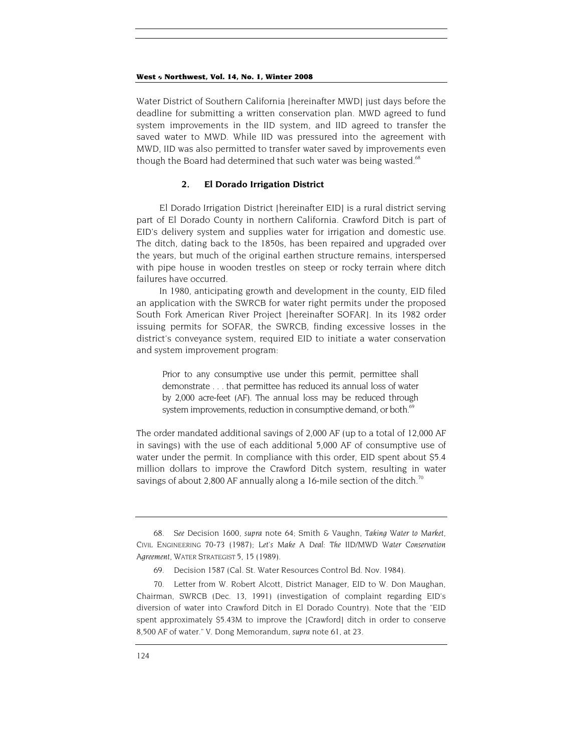Water District of Southern California [hereinafter MWD] just days before the deadline for submitting a written conservation plan. MWD agreed to fund system improvements in the IID system, and IID agreed to transfer the saved water to MWD. While IID was pressured into the agreement with MWD, IID was also permitted to transfer water saved by improvements even though the Board had determined that such water was being wasted.<sup>[68](#page-20-0)</sup>

#### **2. El Dorado Irrigation District**

El Dorado Irrigation District [hereinafter EID] is a rural district serving part of El Dorado County in northern California. Crawford Ditch is part of EID's delivery system and supplies water for irrigation and domestic use. The ditch, dating back to the 1850s, has been repaired and upgraded over the years, but much of the original earthen structure remains, interspersed with pipe house in wooden trestles on steep or rocky terrain where ditch failures have occurred.

In 1980, anticipating growth and development in the county, EID filed an application with the SWRCB for water right permits under the proposed South Fork American River Project [hereinafter SOFAR]. In its 1982 order issuing permits for SOFAR, the SWRCB, finding excessive losses in the district's conveyance system, required EID to initiate a water conservation and system improvement program:

Prior to any consumptive use under this permit, permittee shall demonstrate . . . that permittee has reduced its annual loss of water by 2,000 acre-feet (AF). The annual loss may be reduced through system improvements, reduction in consumptive demand, or both.<sup>64</sup>

The order mandated additional savings of 2,000 AF (up to a total of 12,000 AF in savings) with the use of each additional 5,000 AF of consumptive use of water under the permit. In compliance with this order, EID spent about \$5.4 million dollars to improve the Crawford Ditch system, resulting in water savings of about 2,800 AF annually along a 16-mile section of the ditch.<sup>[70](#page-20-2)</sup>

<span id="page-20-0"></span><sup>68</sup>*. See* Decision 1600, *supra* note 64; Smith & Vaughn, *Taking Water to Market,* CIVIL ENGINEERING 70-73 (1987); *Let's Make A Deal: The IID/MWD Water Conservation Agreement,* WATER STRATEGIST 5, 15 (1989).

<span id="page-20-1"></span><sup>69.</sup> Decision 1587 (Cal. St. Water Resources Control Bd. Nov. 1984).

<span id="page-20-2"></span><sup>70.</sup> Letter from W. Robert Alcott, District Manager, EID to W. Don Maughan, Chairman, SWRCB (Dec. 13, 1991) (investigation of complaint regarding EID's diversion of water into Crawford Ditch in El Dorado Country). Note that the "EID spent approximately \$5.43M to improve the [Crawford] ditch in order to conserve 8,500 AF of water." V. Dong Memorandum, *supra* note 61, at 23.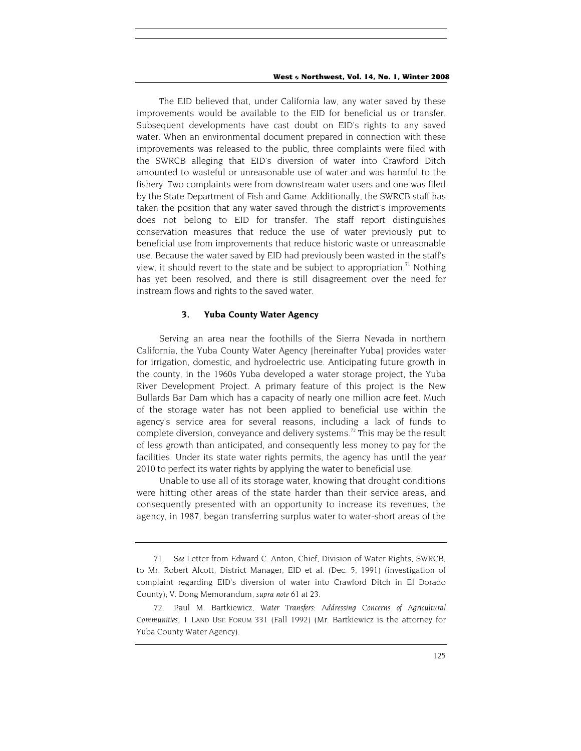The EID believed that, under California law, any water saved by these improvements would be available to the EID for beneficial us or transfer. Subsequent developments have cast doubt on EID's rights to any saved water. When an environmental document prepared in connection with these improvements was released to the public, three complaints were filed with the SWRCB alleging that EID's diversion of water into Crawford Ditch amounted to wasteful or unreasonable use of water and was harmful to the fishery. Two complaints were from downstream water users and one was filed by the State Department of Fish and Game. Additionally, the SWRCB staff has taken the position that any water saved through the district's improvements does not belong to EID for transfer. The staff report distinguishes conservation measures that reduce the use of water previously put to beneficial use from improvements that reduce historic waste or unreasonable use. Because the water saved by EID had previously been wasted in the staff's view, it should revert to the state and be subject to appropriation.<sup>71</sup> Nothing has yet been resolved, and there is still disagreement over the need for instream flows and rights to the saved water.

#### **3. Yuba County Water Agency**

Serving an area near the foothills of the Sierra Nevada in northern California, the Yuba County Water Agency [hereinafter Yuba] provides water for irrigation, domestic, and hydroelectric use. Anticipating future growth in the county, in the 1960s Yuba developed a water storage project, the Yuba River Development Project. A primary feature of this project is the New Bullards Bar Dam which has a capacity of nearly one million acre feet. Much of the storage water has not been applied to beneficial use within the agency's service area for several reasons, including a lack of funds to complete diversion, conveyance and delivery systems.<sup>72</sup> This may be the result of less growth than anticipated, and consequently less money to pay for the facilities. Under its state water rights permits, the agency has until the year 2010 to perfect its water rights by applying the water to beneficial use.

Unable to use all of its storage water, knowing that drought conditions were hitting other areas of the state harder than their service areas, and consequently presented with an opportunity to increase its revenues, the agency, in 1987, began transferring surplus water to water-short areas of the

<span id="page-21-0"></span><sup>71</sup>*. See* Letter from Edward C. Anton, Chief, Division of Water Rights, SWRCB, to Mr. Robert Alcott, District Manager, EID et al. (Dec. 5, 1991) (investigation of complaint regarding EID's diversion of water into Crawford Ditch in El Dorado County); V. Dong Memorandum, *supra note 61 at 23.* 

<span id="page-21-1"></span><sup>72.</sup> Paul M. Bartkiewicz, *Water Transfers: Addressing Concerns of Agricultural Communities,* 1 LAND USE FORUM 331 (Fall 1992) (Mr. Bartkiewicz is the attorney for Yuba County Water Agency).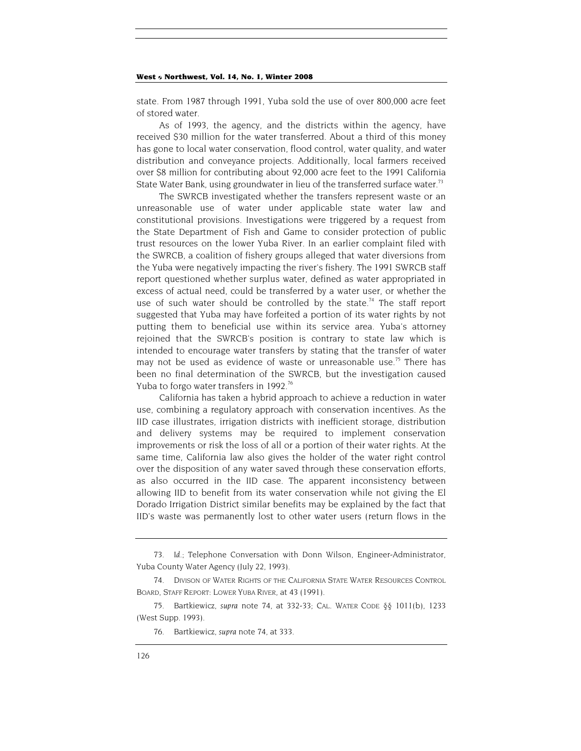state. From 1987 through 1991, Yuba sold the use of over 800,000 acre feet of stored water.

As of 1993, the agency, and the districts within the agency, have received \$30 million for the water transferred. About a third of this money has gone to local water conservation, flood control, water quality, and water distribution and conveyance projects. Additionally, local farmers received over \$8 million for contributing about 92,000 acre feet to the 1991 California State Water Bank, using groundwater in lieu of the transferred surface water.[73](#page-22-0)

The SWRCB investigated whether the transfers represent waste or an unreasonable use of water under applicable state water law and constitutional provisions. Investigations were triggered by a request from the State Department of Fish and Game to consider protection of public trust resources on the lower Yuba River. In an earlier complaint filed with the SWRCB, a coalition of fishery groups alleged that water diversions from the Yuba were negatively impacting the river's fishery. The 1991 SWRCB staff report questioned whether surplus water, defined as water appropriated in excess of actual need, could be transferred by a water user, or whether the use of such water should be controlled by the state.<sup>74</sup> The staff report suggested that Yuba may have forfeited a portion of its water rights by not putting them to beneficial use within its service area. Yuba's attorney rejoined that the SWRCB's position is contrary to state law which is intended to encourage water transfers by stating that the transfer of water may not be used as evidence of waste or unreasonable use.<sup>75</sup> There has been no final determination of the SWRCB, but the investigation caused Yuba to forgo water transfers in 1992.<sup>76</sup>

California has taken a hybrid approach to achieve a reduction in water use, combining a regulatory approach with conservation incentives. As the IID case illustrates, irrigation districts with inefficient storage, distribution and delivery systems may be required to implement conservation improvements or risk the loss of all or a portion of their water rights. At the same time, California law also gives the holder of the water right control over the disposition of any water saved through these conservation efforts, as also occurred in the IID case. The apparent inconsistency between allowing IID to benefit from its water conservation while not giving the El Dorado Irrigation District similar benefits may be explained by the fact that IID's waste was permanently lost to other water users (return flows in the

<span id="page-22-0"></span><sup>73</sup>*. Id.*; Telephone Conversation with Donn Wilson, Engineer-Administrator, Yuba County Water Agency (July 22, 1993).

<span id="page-22-1"></span><sup>74.</sup> DIVISON OF WATER RIGHTS OF THE CALIFORNIA STATE WATER RESOURCES CONTROL BOARD, STAFF REPORT: LOWER YUBA RIVER, at 43 (1991).

<span id="page-22-2"></span><sup>75.</sup> Bartkiewicz, *supra* note 74, at 332-33; CAL. WATER CODE §§ 1011(b), 1233 (West Supp. 1993).

<span id="page-22-3"></span><sup>76.</sup> Bartkiewicz, *supra* note 74, at 333.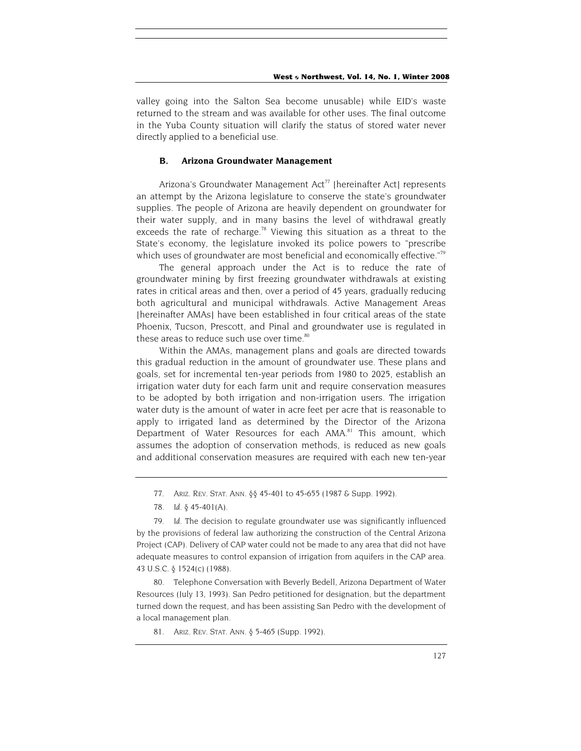valley going into the Salton Sea become unusable) while EID's waste returned to the stream and was available for other uses. The final outcome in the Yuba County situation will clarify the status of stored water never directly applied to a beneficial use.

#### **B. Arizona Groundwater Management**

Arizona's Groundwater Management Act<sup>77</sup> [hereinafter Act] represents an attempt by the Arizona legislature to conserve the state's groundwater supplies. The people of Arizona are heavily dependent on groundwater for their water supply, and in many basins the level of withdrawal greatly exceeds the rate of recharge.<sup>78</sup> Viewing this situation as a threat to the State's economy, the legislature invoked its police powers to "prescribe which uses of groundwater are most beneficial and economically effective."<sup>79</sup>

The general approach under the Act is to reduce the rate of groundwater mining by first freezing groundwater withdrawals at existing rates in critical areas and then, over a period of 45 years, gradually reducing both agricultural and municipal withdrawals. Active Management Areas [hereinafter AMAs] have been established in four critical areas of the state Phoenix, Tucson, Prescott, and Pinal and groundwater use is regulated in these areas to reduce such use over time. $80$ 

Within the AMAs, management plans and goals are directed towards this gradual reduction in the amount of groundwater use. These plans and goals, set for incremental ten-year periods from 1980 to 2025, establish an irrigation water duty for each farm unit and require conservation measures to be adopted by both irrigation and non-irrigation users. The irrigation water duty is the amount of water in acre feet per acre that is reasonable to apply to irrigated land as determined by the Director of the Arizona Department of Water Resources for each AMA.<sup>81</sup> This amount, which assumes the adoption of conservation methods, is reduced as new goals and additional conservation measures are required with each new ten-year

<span id="page-23-1"></span>78*. Id.* § 45-401(A).

<span id="page-23-2"></span>79*. Id.* The decision to regulate groundwater use was significantly influenced by the provisions of federal law authorizing the construction of the Central Arizona Project (CAP). Delivery of CAP water could not be made to any area that did not have adequate measures to control expansion of irrigation from aquifers in the CAP area. 43 U.S.C. § 1524(c) (1988).

<span id="page-23-3"></span>80. Telephone Conversation with Beverly Bedell, Arizona Department of Water Resources (July 13, 1993). San Pedro petitioned for designation, but the department turned down the request, and has been assisting San Pedro with the development of a local management plan.

<span id="page-23-4"></span>81. ARIZ. REV. STAT. ANN. § 5-465 (Supp. 1992).

<span id="page-23-0"></span><sup>77.</sup> ARIZ. REV. STAT. ANN. §§ 45-401 to 45-655 (1987 & Supp. 1992).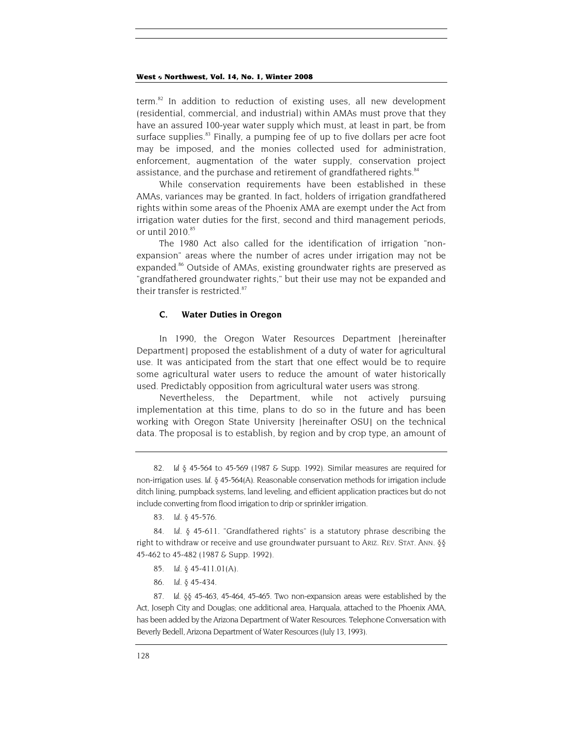term. $82$  In addition to reduction of existing uses, all new development (residential, commercial, and industrial) within AMAs must prove that they have an assured 100-year water supply which must, at least in part, be from surface supplies. $83$  Finally, a pumping fee of up to five dollars per acre foot may be imposed, and the monies collected used for administration, enforcement, augmentation of the water supply, conservation project assistance, and the purchase and retirement of grandfathered rights.<sup>84</sup>

While conservation requirements have been established in these AMAs, variances may be granted. In fact, holders of irrigation grandfathered rights within some areas of the Phoenix AMA are exempt under the Act from irrigation water duties for the first, second and third management periods, or until  $2010^{85}$ 

The 1980 Act also called for the identification of irrigation "nonexpansion" areas where the number of acres under irrigation may not be expanded.<sup>86</sup> Outside of AMAs, existing groundwater rights are preserved as "grandfathered groundwater rights," but their use may not be expanded and their transfer is restricted.<sup>[87](#page-24-5)</sup>

#### **C. Water Duties in Oregon**

In 1990, the Oregon Water Resources Department [hereinafter Department] proposed the establishment of a duty of water for agricultural use. It was anticipated from the start that one effect would be to require some agricultural water users to reduce the amount of water historically used. Predictably opposition from agricultural water users was strong.

Nevertheless, the Department, while not actively pursuing implementation at this time, plans to do so in the future and has been working with Oregon State University [hereinafter OSU] on the technical data. The proposal is to establish, by region and by crop type, an amount of

<span id="page-24-0"></span>82*. Id* § 45-564 to 45-569 (1987 & Supp. 1992). Similar measures are required for non-irrigation uses. *Id.* § 45-564(A). Reasonable conservation methods for irrigation include ditch lining, pumpback systems, land leveling, and efficient application practices but do not include converting from flood irrigation to drip or sprinkler irrigation.

<span id="page-24-1"></span>83*. Id.* § 45-576.

<span id="page-24-2"></span>84*. Id.* § 45-611. "Grandfathered rights" is a statutory phrase describing the right to withdraw or receive and use groundwater pursuant to ARIZ. REV. STAT. ANN. §§ 45-462 to 45-482 (1987 & Supp. 1992).

- <span id="page-24-3"></span>85*. Id.* § 45-411.01(A).
- <span id="page-24-4"></span>86*. Id.* § 45-434.

<span id="page-24-5"></span>87*. Id.* §§ 45-463, 45-464, 45-465. Two non-expansion areas were established by the Act, Joseph City and Douglas; one additional area, Harquala, attached to the Phoenix AMA, has been added by the Arizona Department of Water Resources. Telephone Conversation with Beverly Bedell, Arizona Department of Water Resources (July 13, 1993).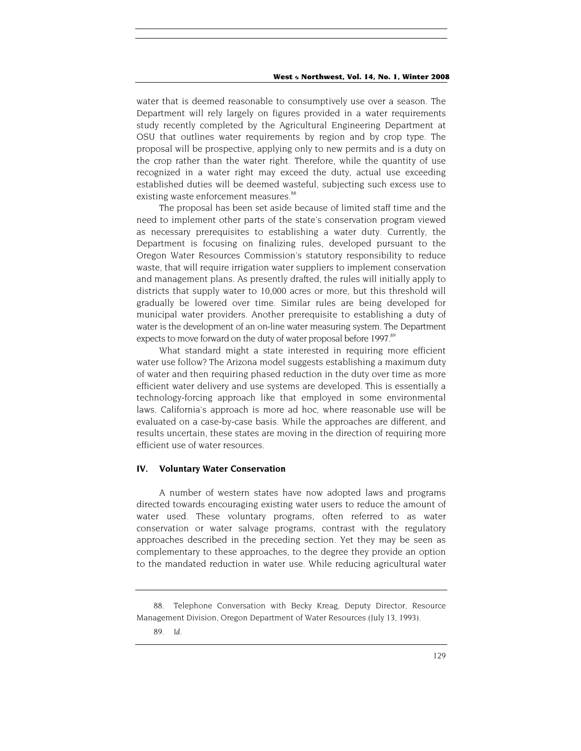water that is deemed reasonable to consumptively use over a season. The Department will rely largely on figures provided in a water requirements study recently completed by the Agricultural Engineering Department at OSU that outlines water requirements by region and by crop type. The proposal will be prospective, applying only to new permits and is a duty on the crop rather than the water right. Therefore, while the quantity of use recognized in a water right may exceed the duty, actual use exceeding established duties will be deemed wasteful, subjecting such excess use to existing waste enforcement measures.<sup>[88](#page-25-0)</sup>

The proposal has been set aside because of limited staff time and the need to implement other parts of the state's conservation program viewed as necessary prerequisites to establishing a water duty. Currently, the Department is focusing on finalizing rules, developed pursuant to the Oregon Water Resources Commission's statutory responsibility to reduce waste, that will require irrigation water suppliers to implement conservation and management plans. As presently drafted, the rules will initially apply to districts that supply water to 10,000 acres or more, but this threshold will gradually be lowered over time. Similar rules are being developed for municipal water providers. Another prerequisite to establishing a duty of water is the development of an on-line water measuring system. The Department expects to move forward on the duty of water proposal before 1997.<sup>89</sup>

What standard might a state interested in requiring more efficient water use follow? The Arizona model suggests establishing a maximum duty of water and then requiring phased reduction in the duty over time as more efficient water delivery and use systems are developed. This is essentially a technology-forcing approach like that employed in some environmental laws. California's approach is more ad hoc, where reasonable use will be evaluated on a case-by-case basis. While the approaches are different, and results uncertain, these states are moving in the direction of requiring more efficient use of water resources.

#### **IV. Voluntary Water Conservation**

A number of western states have now adopted laws and programs directed towards encouraging existing water users to reduce the amount of water used. These voluntary programs, often referred to as water conservation or water salvage programs, contrast with the regulatory approaches described in the preceding section. Yet they may be seen as complementary to these approaches, to the degree they provide an option to the mandated reduction in water use. While reducing agricultural water

<span id="page-25-0"></span><sup>88.</sup> Telephone Conversation with Becky Kreag, Deputy Director, Resource Management Division, Oregon Department of Water Resources (July 13, 1993).

<span id="page-25-1"></span><sup>89</sup>*. Id.*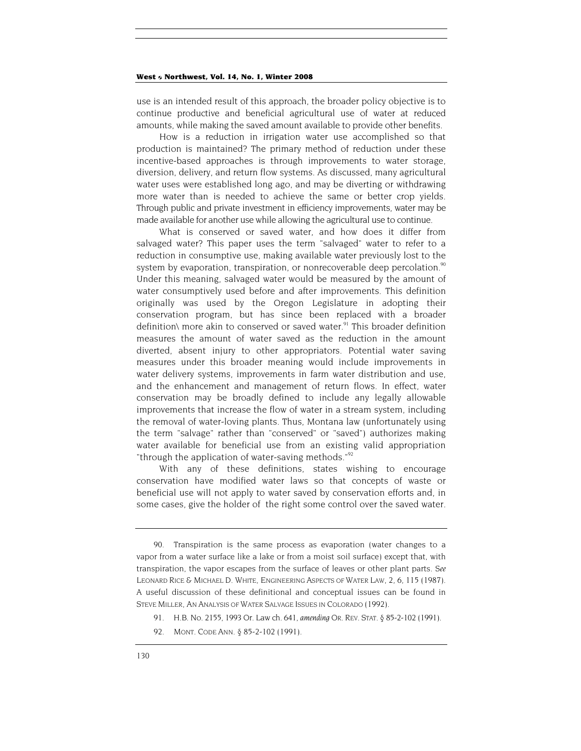use is an intended result of this approach, the broader policy objective is to continue productive and beneficial agricultural use of water at reduced amounts, while making the saved amount available to provide other benefits.

How is a reduction in irrigation water use accomplished so that production is maintained? The primary method of reduction under these incentive-based approaches is through improvements to water storage, diversion, delivery, and return flow systems. As discussed, many agricultural water uses were established long ago, and may be diverting or withdrawing more water than is needed to achieve the same or better crop yields. Through public and private investment in efficiency improvements, water may be made available for another use while allowing the agricultural use to continue.

What is conserved or saved water, and how does it differ from salvaged water? This paper uses the term "salvaged" water to refer to a reduction in consumptive use, making available water previously lost to the system by evaporation, transpiration, or nonrecoverable deep percolation.<sup>90</sup> Under this meaning, salvaged water would be measured by the amount of water consumptively used before and after improvements. This definition originally was used by the Oregon Legislature in adopting their conservation program, but has since been replaced with a broader definition\ more akin to conserved or saved water.<sup>91</sup> This broader definition measures the amount of water saved as the reduction in the amount diverted, absent injury to other appropriators. Potential water saving measures under this broader meaning would include improvements in water delivery systems, improvements in farm water distribution and use, and the enhancement and management of return flows. In effect, water conservation may be broadly defined to include any legally allowable improvements that increase the flow of water in a stream system, including the removal of water-loving plants. Thus, Montana law (unfortunately using the term "salvage" rather than "conserved" or "saved") authorizes making water available for beneficial use from an existing valid appropriation "through the application of water-saving methods."<sup>[92](#page-26-2)</sup>

With any of these definitions, states wishing to encourage conservation have modified water laws so that concepts of waste or beneficial use will not apply to water saved by conservation efforts and, in some cases, give the holder of the right some control over the saved water.

<span id="page-26-0"></span><sup>90.</sup> Transpiration is the same process as evaporation (water changes to a vapor from a water surface like a lake or from a moist soil surface) except that, with transpiration, the vapor escapes from the surface of leaves or other plant parts. *See* LEONARD RICE & MICHAEL D. WHITE, ENGINEERING ASPECTS OF WATER LAW, 2, 6, 115 (1987). A useful discussion of these definitional and conceptual issues can be found in STEVE MILLER, AN ANALYSIS OF WATER SALVAGE ISSUES IN COLORADO (1992).

<span id="page-26-1"></span><sup>91.</sup> H.B. No. 2155, 1993 Or. Law ch. 641, *amending* OR. REV. STAT. § 85-2-102 (1991).

<span id="page-26-2"></span><sup>92.</sup> MONT. CODE ANN. § 85-2-102 (1991).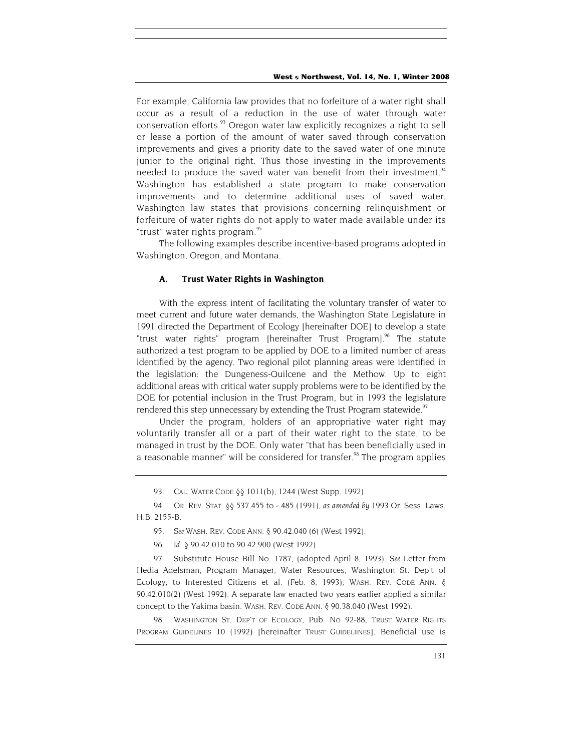<span id="page-27-5"></span>For example, California law provides that no forfeiture of a water right shall occur as a result of a reduction in the use of water through water conservation efforts.<sup>93</sup> Oregon water law explicitly recognizes a right to sell or lease a portion of the amount of water saved through conservation improvements and gives a priority date to the saved water of one minute junior to the original right. Thus those investing in the improvements needed to produce the saved water van benefit from their investment.<sup>94</sup> Washington has established a state program to make conservation improvements and to determine additional uses of saved water. Washington law states that provisions concerning relinquishment or forfeiture of water rights do not apply to water made available under its "trust" water rights program.<sup>[95](#page-27-2)</sup>

The following examples describe incentive-based programs adopted in Washington, Oregon, and Montana.

#### **A. Trust Water Rights in Washington**

With the express intent of facilitating the voluntary transfer of water to meet current and future water demands, the Washington State Legislature in 1991 directed the Department of Ecology [hereinafter DOE] to develop a state "trust water rights" program [hereinafter Trust Program].<sup>96</sup> The statute authorized a test program to be applied by DOE to a limited number of areas identified by the agency. Two regional pilot planning areas were identified in the legislation: the Dungeness-Quilcene and the Methow. Up to eight additional areas with critical water supply problems were to be identified by the DOE for potential inclusion in the Trust Program, but in 1993 the legislature rendered this step unnecessary by extending the Trust Program statewide.<sup>97</sup>

Under the program, holders of an appropriative water right may voluntarily transfer all or a part of their water right to the state, to be managed in trust by the DOE. Only water "that has been beneficially used in a reasonable manner" will be considered for transfer.<sup>98</sup> The program applies

98. WASHINGTON ST. DEP'T OF ECOLOGY, Pub. No 92-88, TRUST WATER RIGHTS PROGRAM GUIDELINES 10 (1992) [hereinafter TRUST GUIDELIINES]. Beneficial use is

<sup>93.</sup> CAL. WATER CODE *δδ* 1011(b), 1244 (West Supp. 1992).

<span id="page-27-1"></span><span id="page-27-0"></span><sup>94.</sup> OR. REV. STAT. §§ 537.455 to -.485 (1991), *as amended by* 1993 Or. Sess. Laws. H.B. 2155-B.

<span id="page-27-2"></span><sup>95</sup>*. See* WASH. REV. CODE ANN. § 90.42.040 (6) (West 1992).

<sup>96</sup>*. Id.* § 90.42.010 to 90.42.900 (West 1992).

<span id="page-27-4"></span><span id="page-27-3"></span><sup>97.</sup> Substitute House Bill No. 1787, (adopted April 8, 1993). *See* Letter from Hedia Adelsman, Program Manager, Water Resources, Washington St. Dep't of Ecology, to Interested Citizens et al. (Feb. 8, 1993); WASH. REV. CODE ANN. § 90.42.010(2) (West 1992). A separate law enacted two years earlier applied a similar concept to the Yakima basin. WASH. REV. CODE ANN. § 90.38.040 (West 1992).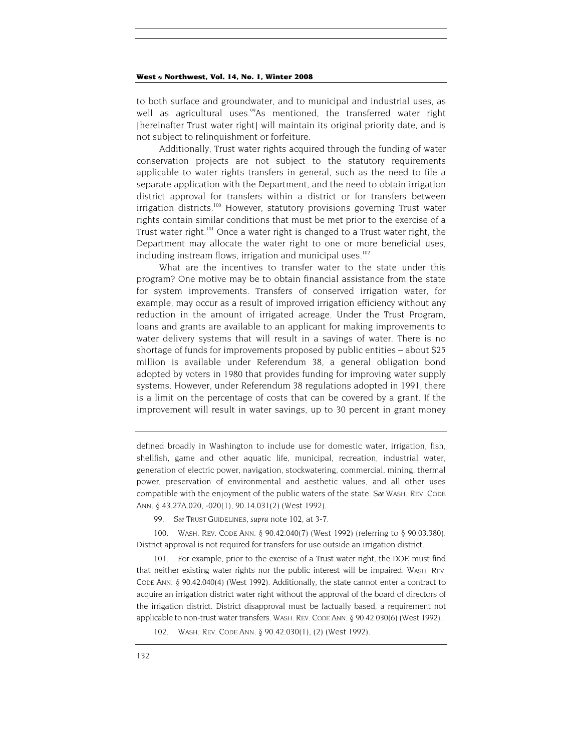to both surface and groundwater, and to municipal and industrial uses, as well as agricultural uses.<sup>99</sup>As mentioned, the transferred water right [hereinafter Trust water right] will maintain its original priority date, and is not subject to relinquishment or forfeiture.

Additionally, Trust water rights acquired through the funding of water conservation projects are not subject to the statutory requirements applicable to water rights transfers in general, such as the need to file a separate application with the Department, and the need to obtain irrigation district approval for transfers within a district or for transfers between irrigation districts.<sup>100</sup> However, statutory provisions governing Trust water rights contain similar conditions that must be met prior to the exercise of a Trust water right.<sup>101</sup> Once a water right is changed to a Trust water right, the Department may allocate the water right to one or more beneficial uses, including instream flows, irrigation and municipal uses.<sup>[102](#page-28-3)</sup>

What are the incentives to transfer water to the state under this program? One motive may be to obtain financial assistance from the state for system improvements. Transfers of conserved irrigation water, for example, may occur as a result of improved irrigation efficiency without any reduction in the amount of irrigated acreage. Under the Trust Program, loans and grants are available to an applicant for making improvements to water delivery systems that will result in a savings of water. There is no shortage of funds for improvements proposed by public entities – about \$25 million is available under Referendum 38, a general obligation bond adopted by voters in 1980 that provides funding for improving water supply systems. However, under Referendum 38 regulations adopted in 1991, there is a limit on the percentage of costs that can be covered by a grant. If the improvement will result in water savings, up to 30 percent in grant money

defined broadly in Washington to include use for domestic water, irrigation, fish, shellfish, game and other aquatic life, municipal, recreation, industrial water, generation of electric power, navigation, stockwatering, commercial, mining, thermal power, preservation of environmental and aesthetic values, and all other uses compatible with the enjoyment of the public waters of the state. *See* WASH. REV. CODE ANN. § 43.27A.020, -020(1), 90.14.031(2) (West 1992).

<span id="page-28-0"></span>99*. See* TRUST GUIDELINES, *supra* note 102, at 3-7.

<span id="page-28-1"></span>100. WASH. REV. CODE ANN. § 90.42.040(7) (West 1992) (referring to § 90.03.380). District approval is not required for transfers for use outside an irrigation district.

<span id="page-28-2"></span>101. For example, prior to the exercise of a Trust water right, the DOE must find that neither existing water rights nor the public interest will be impaired. WASH. REV. CODE ANN. § 90.42.040(4) (West 1992). Additionally, the state cannot enter a contract to acquire an irrigation district water right without the approval of the board of directors of the irrigation district. District disapproval must be factually based, a requirement not applicable to non-trust water transfers. WASH. REV. CODE ANN. § 90.42.030(6) (West 1992).

<span id="page-28-3"></span>102. WASH. REV. CODE ANN. § 90.42.030(1), (2) (West 1992).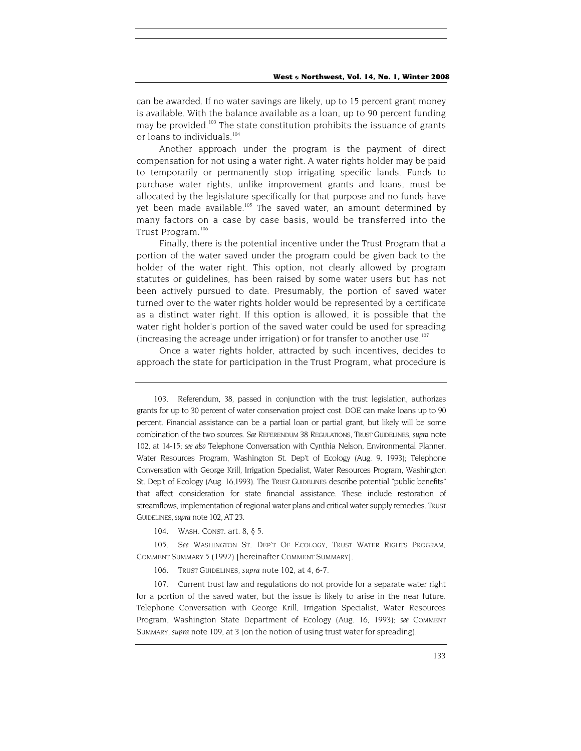can be awarded. If no water savings are likely, up to 15 percent grant money is available. With the balance available as a loan, up to 90 percent funding may be provided.<sup>103</sup> The state constitution prohibits the issuance of grants or loans to individuals.<sup>[104](#page-29-1)</sup>

Another approach under the program is the payment of direct compensation for not using a water right. A water rights holder may be paid to temporarily or permanently stop irrigating specific lands. Funds to purchase water rights, unlike improvement grants and loans, must be allocated by the legislature specifically for that purpose and no funds have yet been made available.<sup>105</sup> The saved water, an amount determined by many factors on a case by case basis, would be transferred into the Trust Program.[106](#page-29-3)

Finally, there is the potential incentive under the Trust Program that a portion of the water saved under the program could be given back to the holder of the water right. This option, not clearly allowed by program statutes or guidelines, has been raised by some water users but has not been actively pursued to date. Presumably, the portion of saved water turned over to the water rights holder would be represented by a certificate as a distinct water right. If this option is allowed, it is possible that the water right holder's portion of the saved water could be used for spreading (increasing the acreage under irrigation) or for transfer to another use.<sup>[107](#page-29-4)</sup>

Once a water rights holder, attracted by such incentives, decides to approach the state for participation in the Trust Program, what procedure is

<span id="page-29-1"></span>104. WASH. CONST. art. 8, § 5.

<span id="page-29-2"></span>105*. See* WASHINGTON ST. DEP'T OF ECOLOGY, TRUST WATER RIGHTS PROGRAM, COMMENT SUMMARY 5 (1992) [hereinafter COMMENT SUMMARY].

106. TRUST GUIDELINES, *supra* note 102, at 4, 6-7.

<span id="page-29-4"></span><span id="page-29-3"></span>107. Current trust law and regulations do not provide for a separate water right for a portion of the saved water, but the issue is likely to arise in the near future. Telephone Conversation with George Krill, Irrigation Specialist, Water Resources Program, Washington State Department of Ecology (Aug. 16, 1993); *see* COMMENT SUMMARY, *supra* note 109, at 3 (on the notion of using trust water for spreading).

<span id="page-29-0"></span><sup>103.</sup> Referendum, 38, passed in conjunction with the trust legislation, authorizes grants for up to 30 percent of water conservation project cost. DOE can make loans up to 90 percent. Financial assistance can be a partial loan or partial grant, but likely will be some combination of the two sources. *See* REFERENDUM 38 REGULATIONS, TRUST GUIDELINES, *supra* note 102, at 14-15; *see also* Telephone Conversation with Cynthia Nelson, Environmental Planner, Water Resources Program, Washington St. Dep't of Ecology (Aug. 9, 1993); Telephone Conversation with George Krill, Irrigation Specialist, Water Resources Program, Washington St. Dep't of Ecology (Aug. 16,1993). The TRUST GUIDELINES describe potential "public benefits" that affect consideration for state financial assistance. These include restoration of streamflows, implementation of regional water plans and critical water supply remedies. TRUST GUIDELINES, *supra* note 102, AT 23.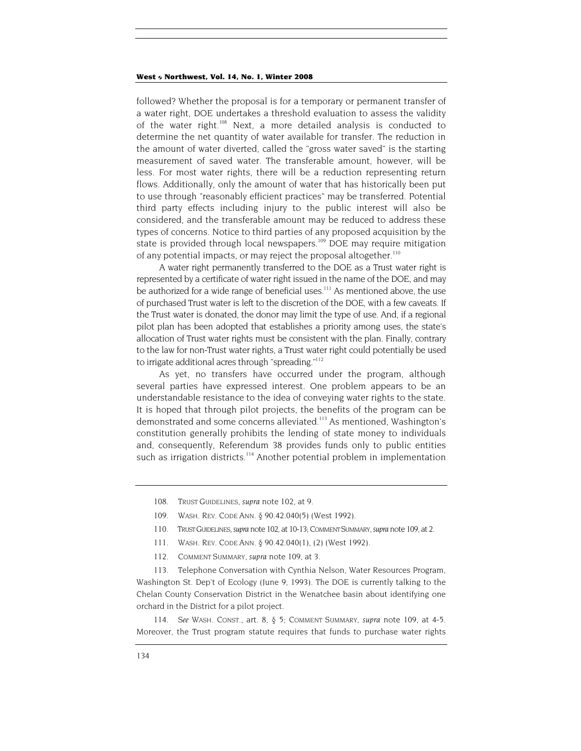<span id="page-30-6"></span>followed? Whether the proposal is for a temporary or permanent transfer of a water right, DOE undertakes a threshold evaluation to assess the validity of the water right[.108](#page-30-0) Next, a more detailed analysis is conducted to determine the net quantity of water available for transfer. The reduction in the amount of water diverted, called the "gross water saved" is the starting measurement of saved water. The transferable amount, however, will be less. For most water rights, there will be a reduction representing return flows. Additionally, only the amount of water that has historically been put to use through "reasonably efficient practices" may be transferred. Potential third party effects including injury to the public interest will also be considered, and the transferable amount may be reduced to address these types of concerns. Notice to third parties of any proposed acquisition by the state is provided through local newspapers.<sup>109</sup> DOE may require mitigation of any potential impacts, or may reject the proposal altogether.<sup>[110](#page-30-2)</sup>

A water right permanently transferred to the DOE as a Trust water right is represented by a certificate of water right issued in the name of the DOE, and may be authorized for a wide range of beneficial uses.<sup>111</sup> As mentioned above, the use of purchased Trust water is left to the discretion of the DOE, with a few caveats. If the Trust water is donated, the donor may limit the type of use. And, if a regional pilot plan has been adopted that establishes a priority among uses, the state's allocation of Trust water rights must be consistent with the plan. Finally, contrary to the law for non-Trust water rights, a Trust water right could potentially be used to irrigate additional acres through "spreading."<sup>112</sup>

As yet, no transfers have occurred under the program, although several parties have expressed interest. One problem appears to be an understandable resistance to the idea of conveying water rights to the state. It is hoped that through pilot projects, the benefits of the program can be demonstrated and some concerns alleviated.<sup>113</sup> As mentioned, Washington's constitution generally prohibits the lending of state money to individuals and, consequently, Referendum 38 provides funds only to public entities such as irrigation districts.<sup>114</sup> Another potential problem in implementation

- <span id="page-30-1"></span>109. WASH. REV. CODE ANN. § 90.42.040(5) (West 1992).
- <span id="page-30-2"></span>110. TRUST GUIDELINES, *supra* note 102, at 10-13; COMMENT SUMMARY, *supra* note 109, at 2.
- <span id="page-30-3"></span>111. WASH. REV. CODE ANN. § 90.42.040(1), (2) (West 1992).
- 112. COMMENT SUMMARY, *supra* note 109, at 3.

<span id="page-30-5"></span><span id="page-30-4"></span>113. Telephone Conversation with Cynthia Nelson, Water Resources Program, Washington St. Dep't of Ecology (June 9, 1993). The DOE is currently talking to the Chelan County Conservation District in the Wenatchee basin about identifying one orchard in the District for a pilot project.

114*. See* WASH. CONST., art. 8, § 5; COMMENT SUMMARY, *supra* note 109, at 4-5. Moreover, the Trust program statute requires that funds to purchase water rights

<span id="page-30-0"></span><sup>108.</sup> TRUST GUIDELINES, *supra* note 102, at 9.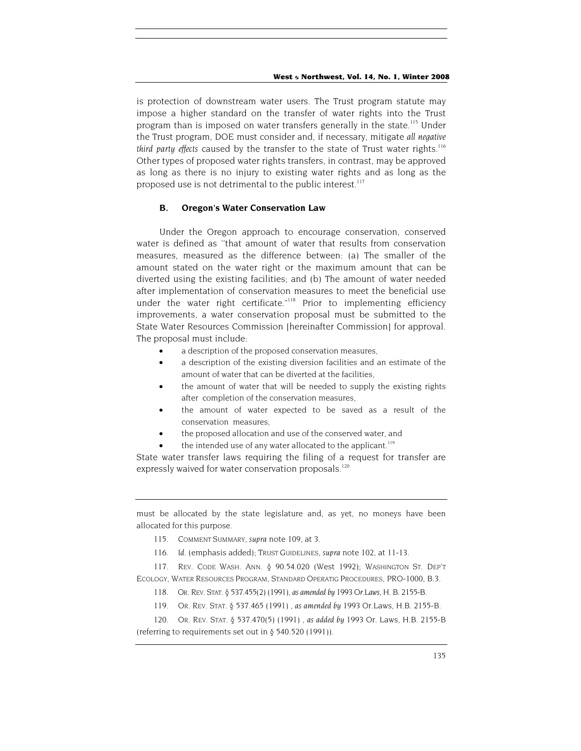is protection of downstream water users. The Trust program statute may impose a higher standard on the transfer of water rights into the Trust program than is imposed on water transfers generally in the state.<sup>115</sup> Under the Trust program, DOE must consider and, if necessary, mitigate *all negative third party effects* caused by the transfer to the state of Trust water rights.<sup>116</sup> Other types of proposed water rights transfers, in contrast, may be approved as long as there is no injury to existing water rights and as long as the proposed use is not detrimental to the public interest.<sup>117</sup>

#### **B. Oregon's Water Conservation Law**

Under the Oregon approach to encourage conservation, conserved water is defined as ''that amount of water that results from conservation measures, measured as the difference between: (a) The smaller of the amount stated on the water right or the maximum amount that can be diverted using the existing facilities; and (b) The amount of water needed after implementation of conservation measures to meet the beneficial use under the water right certificate."<sup>118</sup> Prior to implementing efficiency improvements, a water conservation proposal must be submitted to the State Water Resources Commission [hereinafter Commission] for approval. The proposal must include:

- a description of the proposed conservation measures,
- a description of the existing diversion facilities and an estimate of the amount of water that can be diverted at the facilities,
- the amount of water that will be needed to supply the existing rights after completion of the conservation measures,
- the amount of water expected to be saved as a result of the conservation measures,
- the proposed allocation and use of the conserved water, and
- the intended use of any water allocated to the applicant.<sup>[119](#page-31-4)</sup>

State water transfer laws requiring the filing of a request for transfer are expressly waived for water conservation proposals.<sup>120</sup>

must be allocated by the state legislature and, as yet, no moneys have been allocated for this purpose.

- <span id="page-31-0"></span>115. COMMENT SUMMARY, *supra* note 109, at 3.
- <span id="page-31-1"></span>116*. Id.* (emphasis added); TRUST GUIDELINES, *supra* note 102, at 11-13.

<span id="page-31-2"></span>117. REV. CODE WASH. ANN. § 90.54.020 (West 1992); WASHINGTON ST. DEP'T ECOLOGY, WATER RESOURCES PROGRAM, STANDARD OPERATIG PROCEDURES, PRO-1000, B.3.

- <span id="page-31-3"></span>118. OR. REV. STAT. § 537.455(2) (1991), *as amended by* 1993 *Or.Laws,* H. B. 2155-B.
- 119. OR. REV. STAT. § 537.465 (1991) , *as amended by* 1993 Or.Laws, H.B. 2155-B.

<span id="page-31-5"></span><span id="page-31-4"></span>120. OR. REV. STAT. § 537.470(5) (1991) , *as added by* 1993 Or. Laws, H.B. 2155-B (referring to requirements set out in § 540.520 (1991)).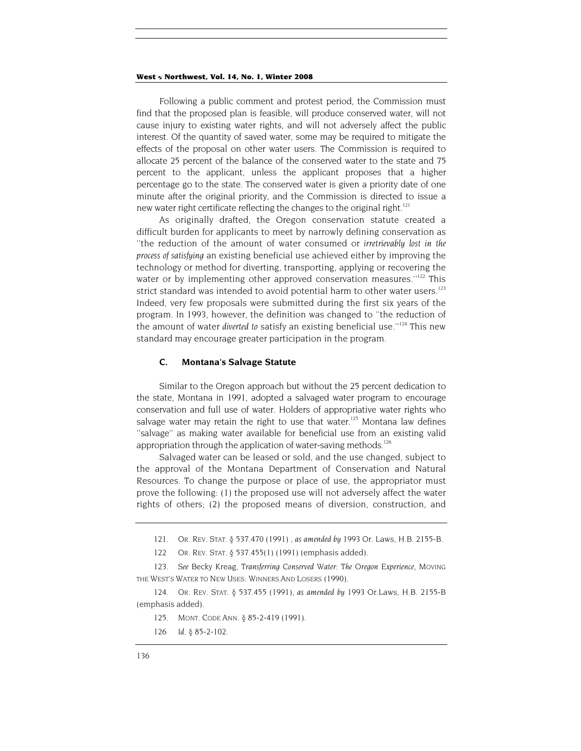Following a public comment and protest period, the Commission must find that the proposed plan is feasible, will produce conserved water, will not cause injury to existing water rights, and will not adversely affect the public interest. Of the quantity of saved water, some may be required to mitigate the effects of the proposal on other water users. The Commission is required to allocate 25 percent of the balance of the conserved water to the state and 75 percent to the applicant, unless the applicant proposes that a higher percentage go to the state. The conserved water is given a priority date of one minute after the original priority, and the Commission is directed to issue a new water right certificate reflecting the changes to the original right.<sup>[121](#page-32-0)</sup>

As originally drafted, the Oregon conservation statute created a difficult burden for applicants to meet by narrowly defining conservation as ''the reduction of the amount of water consumed or *irretrievably lost in the process of satisfying* an existing beneficial use achieved either by improving the technology or method for diverting, transporting, applying or recovering the water or by implementing other approved conservation measures."<sup>122</sup> This strict standard was intended to avoid potential harm to other water users.<sup>[123](#page-32-2)</sup> Indeed, very few proposals were submitted during the first six years of the program. In 1993, however, the definition was changed to ''the reduction of the amount of water *diverted to* satisfy an existing beneficial use.''[124](#page-32-3) This new standard may encourage greater participation in the program.

#### **C. Montana's Salvage Statute**

Similar to the Oregon approach but without the 25 percent dedication to the state, Montana in 1991, adopted a salvaged water program to encourage conservation and full use of water. Holders of appropriative water rights who salvage water may retain the right to use that water.<sup>125</sup> Montana law defines ''salvage'' as making water available for beneficial use from an existing valid appropriation through the application of water-saving methods.<sup>126</sup>

Salvaged water can be leased or sold, and the use changed, subject to the approval of the Montana Department of Conservation and Natural Resources. To change the purpose or place of use, the appropriator must prove the following: (1) the proposed use will not adversely affect the water rights of others; (2) the proposed means of diversion, construction, and

<span id="page-32-0"></span><sup>121.</sup> OR. REV. STAT. § 537.470 (1991) , *as amended by* 1993 Or. Laws, H.B. 2155-B.

<span id="page-32-1"></span><sup>122.</sup> OR. REV. STAT. § 537.455(1) (1991) (emphasis added).

<span id="page-32-2"></span><sup>123</sup>*. See* Becky Kreag, *Transferring Conserved Water: The Oregon Experience,* MOVING THE WEST'S WATER TO NEW USES: WINNERS AND LOSERS (1990).

<span id="page-32-3"></span><sup>124.</sup> OR. REV. STAT. § 537.455 (1991), *as amended by* 1993 Or.Laws, H.B. 2155-B (emphasis added).

<span id="page-32-4"></span><sup>125.</sup> MONT. CODE ANN. § 85-2-419 (1991).

<span id="page-32-5"></span><sup>126</sup> *Id.* § 85-2-102.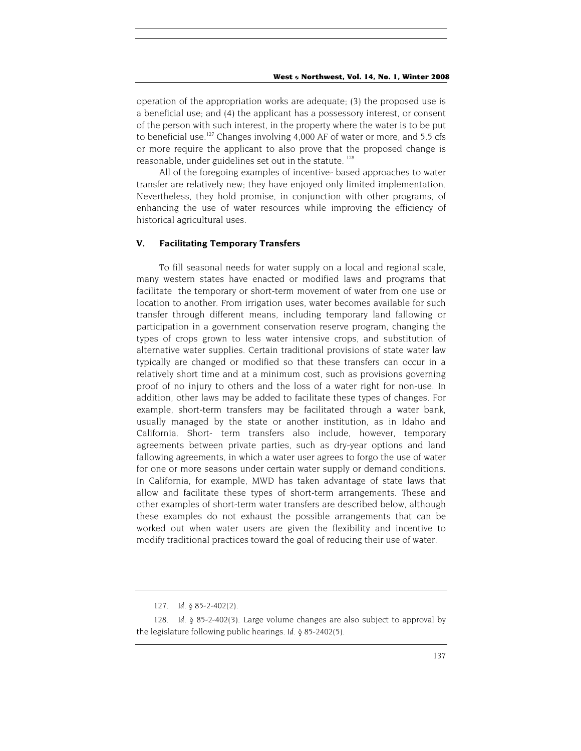operation of the appropriation works are adequate; (3) the proposed use is a beneficial use; and (4) the applicant has a possessory interest, or consent of the person with such interest, in the property where the water is to be put to beneficial use.<sup>127</sup> Changes involving 4,000 AF of water or more, and 5.5 cfs or more require the applicant to also prove that the proposed change is reasonable, under guidelines set out in the statute.<sup>128</sup>

All of the foregoing examples of incentive- based approaches to water transfer are relatively new; they have enjoyed only limited implementation. Nevertheless, they hold promise, in conjunction with other programs, of enhancing the use of water resources while improving the efficiency of historical agricultural uses.

#### **V. Facilitating Temporary Transfers**

To fill seasonal needs for water supply on a local and regional scale, many western states have enacted or modified laws and programs that facilitate the temporary or short-term movement of water from one use or location to another. From irrigation uses, water becomes available for such transfer through different means, including temporary land fallowing or participation in a government conservation reserve program, changing the types of crops grown to less water intensive crops, and substitution of alternative water supplies. Certain traditional provisions of state water law typically are changed or modified so that these transfers can occur in a relatively short time and at a minimum cost, such as provisions governing proof of no injury to others and the loss of a water right for non-use. In addition, other laws may be added to facilitate these types of changes. For example, short-term transfers may be facilitated through a water bank, usually managed by the state or another institution, as in Idaho and California. Short- term transfers also include, however, temporary agreements between private parties, such as dry-year options and land fallowing agreements, in which a water user agrees to forgo the use of water for one or more seasons under certain water supply or demand conditions. In California, for example, MWD has taken advantage of state laws that allow and facilitate these types of short-term arrangements. These and other examples of short-term water transfers are described below, although these examples do not exhaust the possible arrangements that can be worked out when water users are given the flexibility and incentive to modify traditional practices toward the goal of reducing their use of water.

<sup>127</sup>*. Id.* § 85-2-402(2).

<span id="page-33-1"></span><span id="page-33-0"></span><sup>128</sup>*. Id.* § 85-2-402(3). Large volume changes are also subject to approval by the legislature following public hearings. *Id.* § 85-2402(5).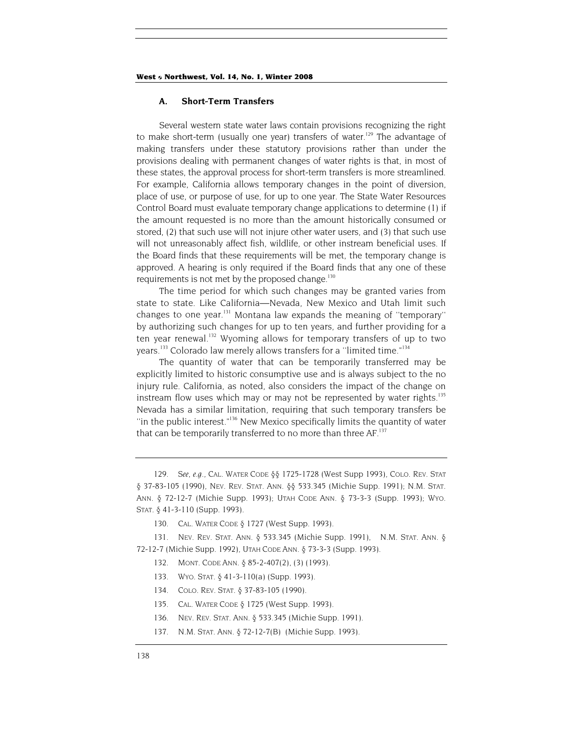#### **A. Short-Term Transfers**

Several western state water laws contain provisions recognizing the right to make short-term (usually one year) transfers of water.<sup>129</sup> The advantage of making transfers under these statutory provisions rather than under the provisions dealing with permanent changes of water rights is that, in most of these states, the approval process for short-term transfers is more streamlined. For example, California allows temporary changes in the point of diversion, place of use, or purpose of use, for up to one year. The State Water Resources Control Board must evaluate temporary change applications to determine (1) if the amount requested is no more than the amount historically consumed or stored, (2) that such use will not injure other water users, and (3) that such use will not unreasonably affect fish, wildlife, or other instream beneficial uses. If the Board finds that these requirements will be met, the temporary change is approved. A hearing is only required if the Board finds that any one of these requirements is not met by the proposed change.<sup>[130](#page-34-1)</sup>

The time period for which such changes may be granted varies from state to state. Like California—Nevada, New Mexico and Utah limit such changes to one year[.131](#page-34-2) Montana law expands the meaning of ''temporary'' by authorizing such changes for up to ten years, and further providing for a ten year renewal.<sup>132</sup> Wyoming allows for temporary transfers of up to two years.<sup>133</sup> Colorado law merely allows transfers for a "limited time."<sup>[134](#page-34-5)</sup>

The quantity of water that can be temporarily transferred may be explicitly limited to historic consumptive use and is always subject to the no injury rule. California, as noted, also considers the impact of the change on instream flow uses which may or may not be represented by water rights.<sup>135</sup> Nevada has a similar limitation, requiring that such temporary transfers be ''in the public interest.["136 N](#page-34-7)ew Mexico specifically limits the quantity of water that can be temporarily transferred to no more than three AF.<sup>137</sup>

<span id="page-34-2"></span><span id="page-34-1"></span>131. NEV. REV. STAT. ANN. § 533.345 (Michie Supp. 1991), N.M. STAT. ANN. § 72-12-7 (Michie Supp. 1992), UTAH CODE ANN. § 73-3-3 (Supp. 1993).

- <span id="page-34-4"></span>133. WYO. STAT. § 41-3-110(a) (Supp. 1993).
- <span id="page-34-5"></span>134. COLO. REV. STAT. § 37-83-105 (1990).
- <span id="page-34-6"></span>135. CAL. WATER CODE § 1725 (West Supp. 1993).
- <span id="page-34-7"></span>136. NEV. REV. STAT. ANN. § 533.345 (Michie Supp. 1991).
- <span id="page-34-8"></span>137. N.M. STAT. ANN. § 72-12-7(B) (Michie Supp. 1993).

<span id="page-34-0"></span><sup>129</sup>*. See, e.g*., CAL. WATER CODE §§ 1725-1728 (West Supp 1993), COLO. REV. STAT § 37-83-105 (1990), NEV. REV. STAT. ANN. §§ 533.345 (Michie Supp. 1991); N.M. STAT. ANN. § 72-12-7 (Michie Supp. 1993); UTAH CODE ANN. § 73-3-3 (Supp. 1993); WYO. STAT. § 41-3-110 (Supp. 1993).

<sup>130.</sup> CAL. WATER CODE § 1727 (West Supp. 1993).

<span id="page-34-3"></span><sup>132.</sup> MONT. CODE ANN. § 85-2-407(2), (3) (1993).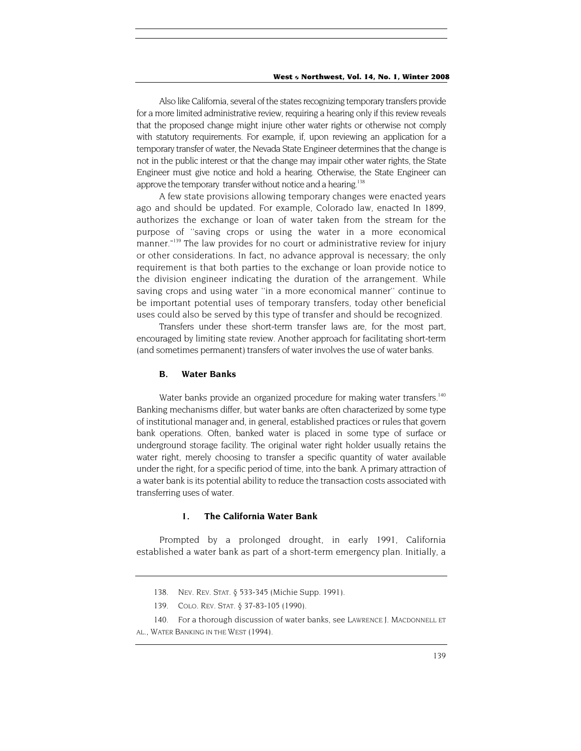Also like California, several of the states recognizing temporary transfers provide for a more limited administrative review, requiring a hearing only if this review reveals that the proposed change might injure other water rights or otherwise not comply with statutory requirements. For example, if, upon reviewing an application for a temporary transfer of water, the Nevada State Engineer determines that the change is not in the public interest or that the change may impair other water rights, the State Engineer must give notice and hold a hearing. Otherwise, the State Engineer can approve the temporary transfer without notice and a hearing.<sup>138</sup>

A few state provisions allowing temporary changes were enacted years ago and should be updated. For example, Colorado law, enacted In 1899, authorizes the exchange or loan of water taken from the stream for the purpose of ''saving crops or using the water in a more economical manner."<sup>139</sup> The law provides for no court or administrative review for injury or other considerations. In fact, no advance approval is necessary; the only requirement is that both parties to the exchange or loan provide notice to the division engineer indicating the duration of the arrangement. While saving crops and using water ''in a more economical manner'' continue to be important potential uses of temporary transfers, today other beneficial uses could also be served by this type of transfer and should be recognized.

Transfers under these short-term transfer laws are, for the most part, encouraged by limiting state review. Another approach for facilitating short-term (and sometimes permanent) transfers of water involves the use of water banks.

#### **B. Water Banks**

Water banks provide an organized procedure for making water transfers.<sup>140</sup> Banking mechanisms differ, but water banks are often characterized by some type of institutional manager and, in general, established practices or rules that govern bank operations. Often, banked water is placed in some type of surface or underground storage facility. The original water right holder usually retains the water right, merely choosing to transfer a specific quantity of water available under the right, for a specific period of time, into the bank. A primary attraction of a water bank is its potential ability to reduce the transaction costs associated with transferring uses of water.

## **1. The California Water Bank**

Prompted by a prolonged drought, in early 1991, California established a water bank as part of a short-term emergency plan. Initially, a

<span id="page-35-0"></span><sup>138.</sup> NEV. REV. STAT. § 533-345 (Michie Supp. 1991).

<span id="page-35-1"></span><sup>139.</sup> COLO. REV. STAT. § 37-83-105 (1990).

<span id="page-35-2"></span><sup>140.</sup> For a thorough discussion of water banks, see LAWRENCE J. MACDONNELL ET

AL., WATER BANKING IN THE WEST (1994).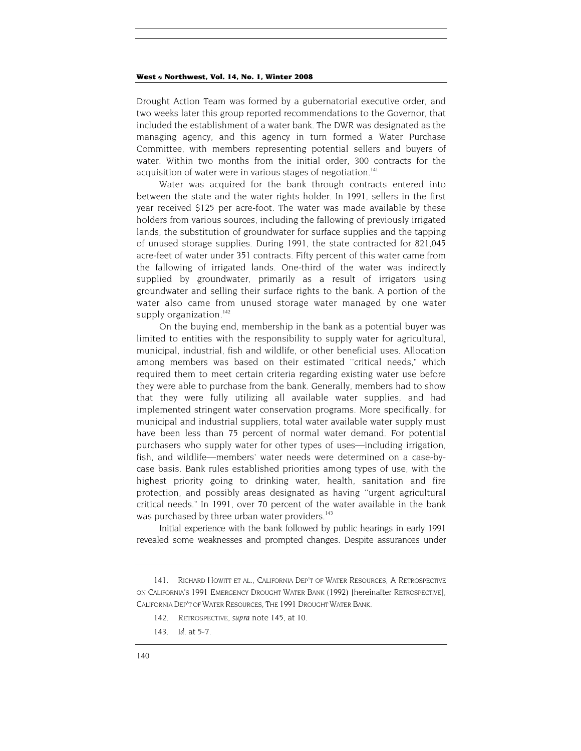Drought Action Team was formed by a gubernatorial executive order, and two weeks later this group reported recommendations to the Governor, that included the establishment of a water bank. The DWR was designated as the managing agency, and this agency in turn formed a Water Purchase Committee, with members representing potential sellers and buyers of water. Within two months from the initial order, 300 contracts for the acquisition of water were in various stages of negotiation.<sup>[141](#page-36-0)</sup>

Water was acquired for the bank through contracts entered into between the state and the water rights holder. In 1991, sellers in the first year received \$125 per acre-foot. The water was made available by these holders from various sources, including the fallowing of previously irrigated lands, the substitution of groundwater for surface supplies and the tapping of unused storage supplies. During 1991, the state contracted for 821,045 acre-feet of water under 351 contracts. Fifty percent of this water came from the fallowing of irrigated lands. One-third of the water was indirectly supplied by groundwater, primarily as a result of irrigators using groundwater and selling their surface rights to the bank. A portion of the water also came from unused storage water managed by one water supply organization.<sup>[142](#page-36-1)</sup>

On the buying end, membership in the bank as a potential buyer was limited to entities with the responsibility to supply water for agricultural, municipal, industrial, fish and wildlife, or other beneficial uses. Allocation among members was based on their estimated ''critical needs," which required them to meet certain criteria regarding existing water use before they were able to purchase from the bank. Generally, members had to show that they were fully utilizing all available water supplies, and had implemented stringent water conservation programs. More specifically, for municipal and industrial suppliers, total water available water supply must have been less than 75 percent of normal water demand. For potential purchasers who supply water for other types of uses—including irrigation, fish, and wildlife—members' water needs were determined on a case-bycase basis. Bank rules established priorities among types of use, with the highest priority going to drinking water, health, sanitation and fire protection, and possibly areas designated as having ''urgent agricultural critical needs." In 1991, over 70 percent of the water available in the bank was purchased by three urban water providers.<sup>143</sup>

Initial experience with the bank followed by public hearings in early 1991 revealed some weaknesses and prompted changes. Despite assurances under

<span id="page-36-0"></span><sup>141.</sup> RICHARD HOWITT ET AL., CALIFORNIA DEP'T OF WATER RESOURCES, A RETROSPECTIVE ON CALIFORNIA'S 1991 EMERGENCY DROUGHT WATER BANK (1992) [hereinafter RETROSPECTIVE], CALIFORNIA DEP'T OF WATER RESOURCES, THE 1991 DROUGHT WATER BANK.

<span id="page-36-1"></span><sup>142.</sup> RETROSPECTIVE, *supra* note 145, at 10.

<span id="page-36-2"></span><sup>143</sup>*. Id.* at 5-7.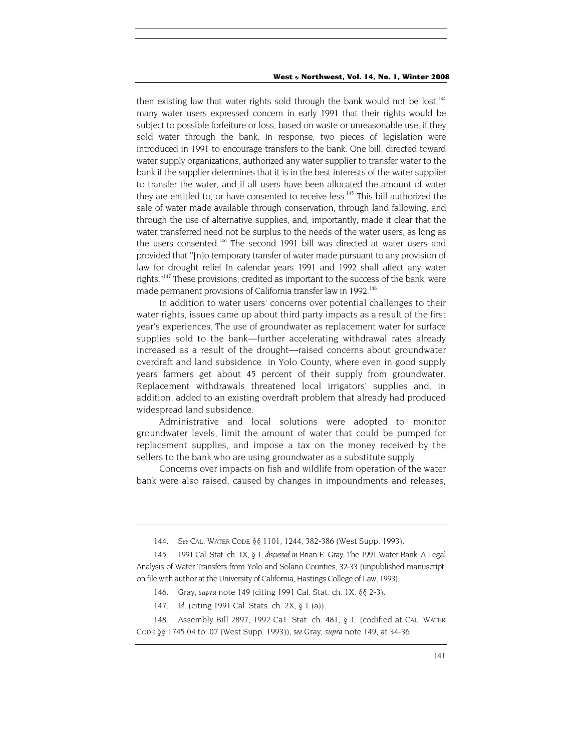then existing law that water rights sold through the bank would not be lost,<sup>144</sup> many water users expressed concern in early 1991 that their rights would be subject to possible forfeiture or loss, based on waste or unreasonable use, if they sold water through the bank. In response, two pieces of legislation were introduced in 1991 to encourage transfers to the bank. One bill, directed toward water supply organizations, authorized any water supplier to transfer water to the bank if the supplier determines that it is in the best interests of the water supplier to transfer the water, and if all users have been allocated the amount of water they are entitled to, or have consented to receive less.<sup>145</sup> This bill authorized the sale of water made available through conservation, through land fallowing, and through the use of alternative supplies, and, importantly, made it clear that the water transferred need not be surplus to the needs of the water users, as long as the users consented.<sup>146</sup> The second 1991 bill was directed at water users and provided that ''[n]o temporary transfer of water made pursuant to any provision of law for drought relief In calendar years 1991 and 1992 shall affect any water rights."<sup>147</sup> These provisions, credited as important to the success of the bank, were made permanent provisions of California transfer law in 1992.<sup>148</sup>

In addition to water users' concerns over potential challenges to their water rights, issues came up about third party impacts as a result of the first year's experiences. The use of groundwater as replacement water for surface supplies sold to the bank—further accelerating withdrawal rates already increased as a result of the drought—raised concerns about groundwater overdraft and land subsidence in Yolo County, where even in good supply years farmers get about 45 percent of their supply from groundwater. Replacement withdrawals threatened local irrigators' supplies and, in addition, added to an existing overdraft problem that already had produced widespread land subsidence.

Administrative and local solutions were adopted to monitor groundwater levels, limit the amount of water that could be pumped for replacement supplies, and impose a tax on the money received by the sellers to the bank who are using groundwater as a substitute supply.

Concerns over impacts on fish and wildlife from operation of the water bank were also raised, caused by changes in impoundments and releases,

<sup>144</sup>*. See* CAL. WATER CODE §§ 1101, 1244, 382-386 (West Supp. 1993).

<span id="page-37-1"></span><span id="page-37-0"></span><sup>145.</sup> 1991 Cal. Stat. ch. 1X, § 1, *discussed in* Brian E. Gray, The 1991 Water Bank: A Legal Analysis of Water Transfers from Yolo and Solano Counties, 32-33 (unpublished manuscript, on file with author at the University of California, Hastings College of Law, 1993).

<span id="page-37-2"></span><sup>146.</sup> Gray, *supra* note 149 (citing 1991 Cal. Stat. ch. 1X. §§ 2-3).

<sup>147</sup>*. Id.* (citing 1991 Cal. Stats. ch. 2X, § 1 (a)).

<span id="page-37-4"></span><span id="page-37-3"></span><sup>148.</sup> Assembly Bill 2897, 1992 Ca1. Stat. ch. 481, § 1, (codified at CAL. WATER CODE §§ 1745.04 to .07 (West Supp. 1993)), *see* Gray, *supra* note 149, at 34-36.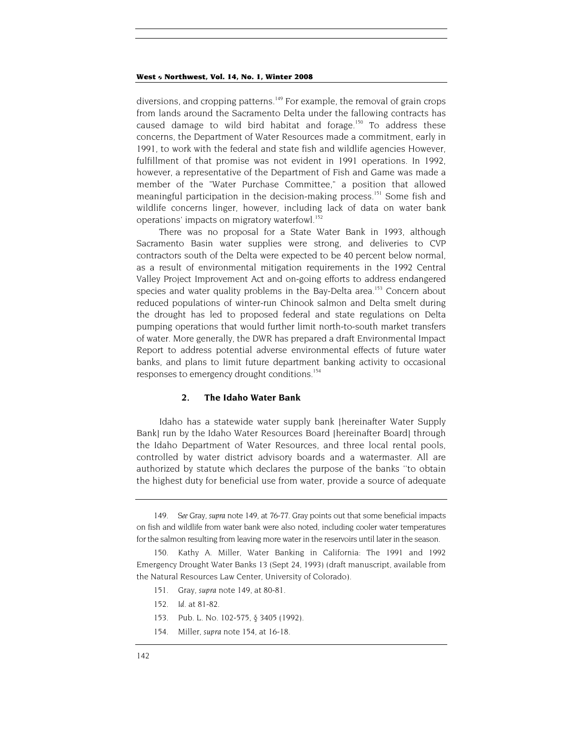diversions, and cropping patterns.<sup>149</sup> For example, the removal of grain crops from lands around the Sacramento Delta under the fallowing contracts has caused damage to wild bird habitat and forage.<sup>150</sup> To address these concerns, the Department of Water Resources made a commitment, early in 1991, to work with the federal and state fish and wildlife agencies However, fulfillment of that promise was not evident in 1991 operations. In 1992, however, a representative of the Department of Fish and Game was made a member of the "Water Purchase Committee," a position that allowed meaningful participation in the decision-making process.<sup>151</sup> Some fish and wildlife concerns linger, however, including lack of data on water bank operations' impacts on migratory waterfowl.<sup>[152](#page-38-3)</sup>

There was no proposal for a State Water Bank in 1993, although Sacramento Basin water supplies were strong, and deliveries to CVP contractors south of the Delta were expected to be 40 percent below normal, as a result of environmental mitigation requirements in the 1992 Central Valley Project Improvement Act and on-going efforts to address endangered species and water quality problems in the Bay-Delta area.<sup>153</sup> Concern about reduced populations of winter-run Chinook salmon and Delta smelt during the drought has led to proposed federal and state regulations on Delta pumping operations that would further limit north-to-south market transfers of water. More generally, the DWR has prepared a draft Environmental Impact Report to address potential adverse environmental effects of future water banks, and plans to limit future department banking activity to occasional responses to emergency drought conditions.<sup>154</sup>

#### **2. The Idaho Water Bank**

Idaho has a statewide water supply bank [hereinafter Water Supply Bank] run by the Idaho Water Resources Board [hereinafter Board] through the Idaho Department of Water Resources, and three local rental pools, controlled by water district advisory boards and a watermaster. All are authorized by statute which declares the purpose of the banks ''to obtain the highest duty for beneficial use from water, provide a source of adequate

- <span id="page-38-2"></span>151. Gray, *supra* note 149, at 80-81.
- <span id="page-38-3"></span>152*. Id.* at 81-82.
- <span id="page-38-4"></span>153. Pub. L. No. 102-575, § 3405 (1992).
- <span id="page-38-5"></span>154. Miller, *supra* note 154, at 16-18.

<span id="page-38-0"></span><sup>149</sup>*. See* Gray, *supra* note 149, at 76-77. Gray points out that some beneficial impacts on fish and wildlife from water bank were also noted, including cooler water temperatures for the salmon resulting from leaving more water in the reservoirs until later in the season.

<span id="page-38-1"></span><sup>150.</sup> Kathy A. Miller, Water Banking in California: The 1991 and 1992 Emergency Drought Water Banks 13 (Sept 24, 1993) (draft manuscript, available from the Natural Resources Law Center, University of Colorado).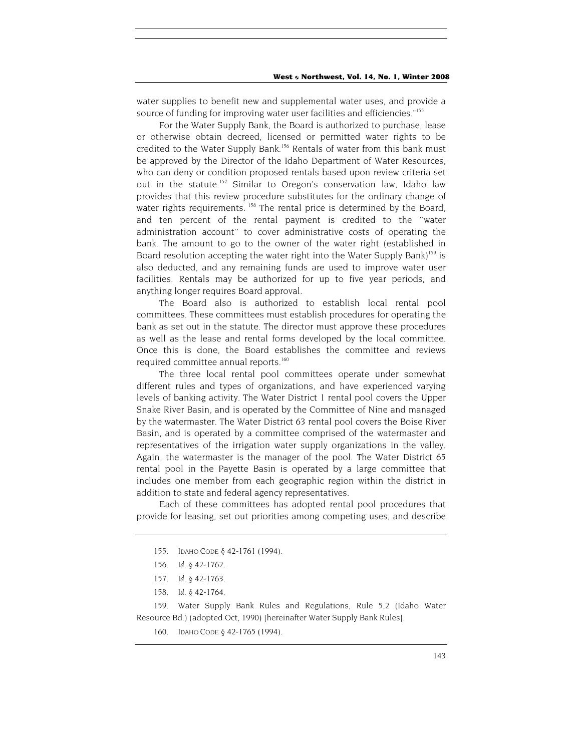water supplies to benefit new and supplemental water uses, and provide a source of funding for improving water user facilities and efficiencies."<sup>[155](#page-39-0)</sup>

For the Water Supply Bank, the Board is authorized to purchase, lease or otherwise obtain decreed, licensed or permitted water rights to be credited to the Water Supply Bank.<sup>156</sup> Rentals of water from this bank must be approved by the Director of the Idaho Department of Water Resources, who can deny or condition proposed rentals based upon review criteria set out in the statute.<sup>157</sup> Similar to Oregon's conservation law, Idaho law provides that this review procedure substitutes for the ordinary change of water rights requirements.<sup>158</sup> The rental price is determined by the Board, and ten percent of the rental payment is credited to the ''water administration account'' to cover administrative costs of operating the bank. The amount to go to the owner of the water right (established in Board resolution accepting the water right into the Water Supply Bank)<sup>159</sup> is also deducted, and any remaining funds are used to improve water user facilities. Rentals may be authorized for up to five year periods, and anything longer requires Board approval.

The Board also is authorized to establish local rental pool committees. These committees must establish procedures for operating the bank as set out in the statute. The director must approve these procedures as well as the lease and rental forms developed by the local committee. Once this is done, the Board establishes the committee and reviews required committee annual reports.<sup>160</sup>

The three local rental pool committees operate under somewhat different rules and types of organizations, and have experienced varying levels of banking activity. The Water District 1 rental pool covers the Upper Snake River Basin, and is operated by the Committee of Nine and managed by the watermaster. The Water District 63 rental pool covers the Boise River Basin, and is operated by a committee comprised of the watermaster and representatives of the irrigation water supply organizations in the valley. Again, the watermaster is the manager of the pool. The Water District 65 rental pool in the Payette Basin is operated by a large committee that includes one member from each geographic region within the district in addition to state and federal agency representatives.

Each of these committees has adopted rental pool procedures that provide for leasing, set out priorities among competing uses, and describe

<span id="page-39-3"></span>158*. Id.* § 42-1764.

<span id="page-39-4"></span>159. Water Supply Bank Rules and Regulations, Rule 5,2 (Idaho Water Resource Bd.) (adopted Oct, 1990) [hereinafter Water Supply Bank Rules].

<span id="page-39-5"></span>160. IDAHO CODE § 42-1765 (1994).

<span id="page-39-0"></span><sup>155.</sup> IDAHO CODE § 42-1761 (1994).

<span id="page-39-1"></span><sup>156</sup>*. Id.* § 42-1762.

<span id="page-39-2"></span><sup>157</sup>*. Id.* § 42-1763.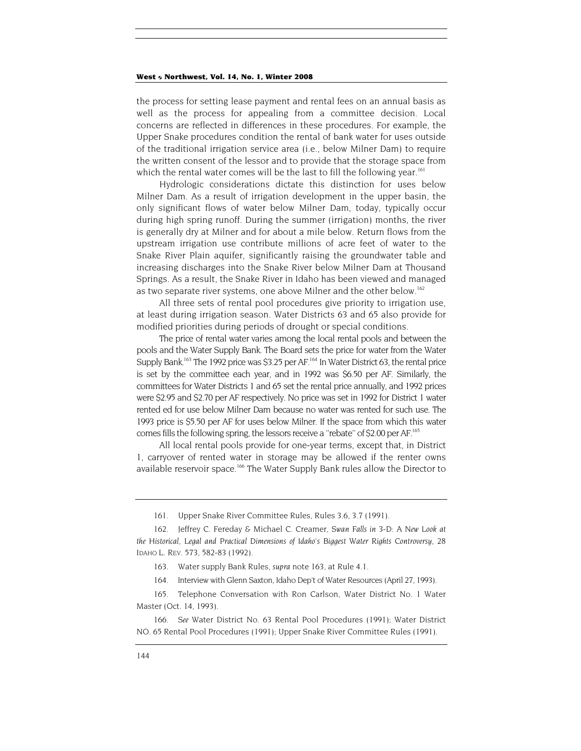the process for setting lease payment and rental fees on an annual basis as well as the process for appealing from a committee decision. Local concerns are reflected in differences in these procedures. For example, the Upper Snake procedures condition the rental of bank water for uses outside of the traditional irrigation service area (i.e., below Milner Dam) to require the written consent of the lessor and to provide that the storage space from which the rental water comes will be the last to fill the following year.<sup>161</sup>

Hydrologic considerations dictate this distinction for uses below Milner Dam. As a result of irrigation development in the upper basin, the only significant flows of water below Milner Dam, today, typically occur during high spring runoff. During the summer (irrigation) months, the river is generally dry at Milner and for about a mile below. Return flows from the upstream irrigation use contribute millions of acre feet of water to the Snake River Plain aquifer, significantly raising the groundwater table and increasing discharges into the Snake River below Milner Dam at Thousand Springs. As a result, the Snake River in Idaho has been viewed and managed as two separate river systems, one above Milner and the other below.<sup>[162](#page-40-1)</sup>

All three sets of rental pool procedures give priority to irrigation use, at least during irrigation season. Water Districts 63 and 65 also provide for modified priorities during periods of drought or special conditions.

The price of rental water varies among the local rental pools and between the pools and the Water Supply Bank. The Board sets the price for water from the Water Supply Bank.<sup>163</sup> The 1992 price was \$3.25 per AF.<sup>164</sup> In Water District 63, the rental price is set by the committee each year, and in 1992 was \$6.50 per AF. Similarly, the committees for Water Districts 1 and 65 set the rental price annually, and 1992 prices were \$2.95 and \$2.70 per AF respectively. No price was set in 1992 for District 1 water rented ed for use below Milner Dam because no water was rented for such use. The 1993 price is \$5.50 per AF for uses below Milner. If the space from which this water comes fills the following spring, the lessors receive a ''rebate'' of \$2.00 per AF.[165](#page-40-4)

All local rental pools provide for one-year terms, except that, in District 1, carryover of rented water in storage may be allowed if the renter owns available reservoir space.<sup>166</sup> The Water Supply Bank rules allow the Director to

<sup>161.</sup> Upper Snake River Committee Rules, Rules 3.6, 3.7 (1991).

<span id="page-40-1"></span><span id="page-40-0"></span><sup>162.</sup> Jeffrey C. Fereday & Michael C. Creamer, *Swan Falls in 3-D: A New Look at the Historical, Legal and Practical Dimensions of Idaho's Biggest Water Rights Controversy,* 28 IDAHO L. REV. 573, 582-83 (1992).

<span id="page-40-2"></span><sup>163.</sup> Water supply Bank Rules, *supra* note 163, at Rule 4.1.

<sup>164.</sup> Interview with Glenn Saxton, Idaho Dep't of Water Resources (April 27, 1993).

<span id="page-40-4"></span><span id="page-40-3"></span><sup>165.</sup> Telephone Conversation with Ron Carlson, Water District No. 1 Water Master (Oct. 14, 1993).

<span id="page-40-5"></span><sup>166</sup>*. See* Water District No. 63 Rental Pool Procedures (1991); Water District NO. 65 Rental Pool Procedures (1991); Upper Snake River Committee Rules (1991).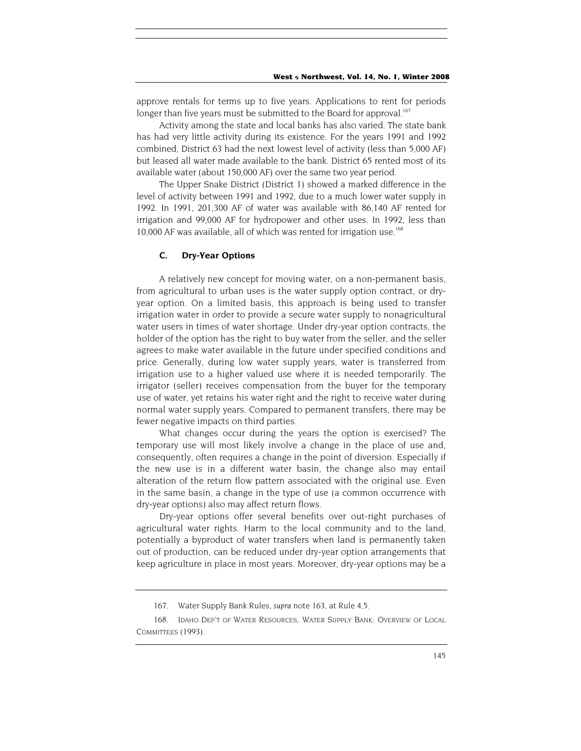approve rentals for terms up to five years. Applications to rent for periods longer than five years must be submitted to the Board for approval.<sup>[167](#page-41-0)</sup>

Activity among the state and local banks has also varied. The state bank has had very little activity during its existence. For the years 1991 and 1992 combined, District 63 had the next lowest level of activity (less than 5,000 AF) but leased all water made available to the bank. District 65 rented most of its available water (about 150,000 AF) over the same two year period.

The Upper Snake District (District 1) showed a marked difference in the level of activity between 1991 and 1992, due to a much lower water supply in 1992. In 1991, 201,300 AF of water was available with 86,140 AF rented for irrigation and 99,000 AF for hydropower and other uses. In 1992, less than 10,000 AF was available, all of which was rented for irrigation use.<sup>[168](#page-41-1)</sup>

#### **C. Dry-Year Options**

A relatively new concept for moving water, on a non-permanent basis, from agricultural to urban uses is the water supply option contract, or dryyear option. On a limited basis, this approach is being used to transfer irrigation water in order to provide a secure water supply to nonagricultural water users in times of water shortage. Under dry-year option contracts, the holder of the option has the right to buy water from the seller, and the seller agrees to make water available in the future under specified conditions and price. Generally, during low water supply years, water is transferred from irrigation use to a higher valued use where it is needed temporarily. The irrigator (seller) receives compensation from the buyer for the temporary use of water, yet retains his water right and the right to receive water during normal water supply years. Compared to permanent transfers, there may be fewer negative impacts on third parties.

What changes occur during the years the option is exercised? The temporary use will most likely involve a change in the place of use and, consequently, often requires a change in the point of diversion. Especially if the new use is in a different water basin, the change also may entail alteration of the return flow pattern associated with the original use. Even in the same basin, a change in the type of use (a common occurrence with dry-year options) also may affect return flows.

Dry-year options offer several benefits over out-right purchases of agricultural water rights. Harm to the local community and to the land, potentially a byproduct of water transfers when land is permanently taken out of production, can be reduced under dry-year option arrangements that keep agriculture in place in most years. Moreover, dry-year options may be a

<sup>167.</sup> Water Supply Bank Rules, *supra* note 163, at Rule 4,5.

<span id="page-41-1"></span><span id="page-41-0"></span><sup>168.</sup> IDAHO DEP'T OF WATER RESOURCES, WATER SUPPLY BANK: OVERVIEW OF LOCAL COMMITTEES (1993).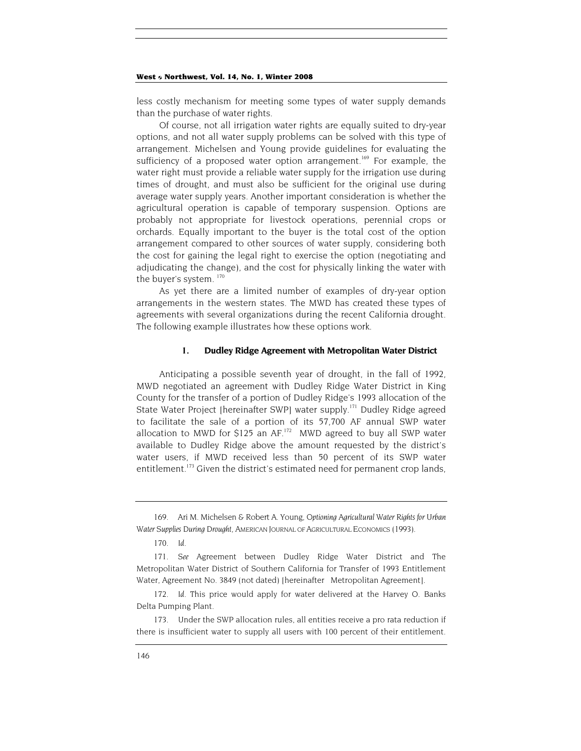<span id="page-42-4"></span>less costly mechanism for meeting some types of water supply demands than the purchase of water rights.

Of course, not all irrigation water rights are equally suited to dry-year options, and not all water supply problems can be solved with this type of arrangement. Michelsen and Young provide guidelines for evaluating the sufficiency of a proposed water option arrangement.<sup>169</sup> For example, the water right must provide a reliable water supply for the irrigation use during times of drought, and must also be sufficient for the original use during average water supply years. Another important consideration is whether the agricultural operation is capable of temporary suspension. Options are probably not appropriate for livestock operations, perennial crops or orchards. Equally important to the buyer is the total cost of the option arrangement compared to other sources of water supply, considering both the cost for gaining the legal right to exercise the option (negotiating and adjudicating the change), and the cost for physically linking the water with the buyer's system.<sup>[170](#page-42-1)</sup>

As yet there are a limited number of examples of dry-year option arrangements in the western states. The MWD has created these types of agreements with several organizations during the recent California drought. The following example illustrates how these options work.

#### **1. Dudley Ridge Agreement with Metropolitan Water District**

Anticipating a possible seventh year of drought, in the fall of 1992, MWD negotiated an agreement with Dudley Ridge Water District in King County for the transfer of a portion of Dudley Ridge's 1993 allocation of the State Water Project [hereinafter SWP] water supply.<sup>171</sup> Dudley Ridge agreed to facilitate the sale of a portion of its 57,700 AF annual SWP water allocation to MWD for \$125 an AF.<sup>172</sup> MWD agreed to buy all SWP water available to Dudley Ridge above the amount requested by the district's water users, if MWD received less than 50 percent of its SWP water entitlement.<sup>173</sup> Given the district's estimated need for permanent crop lands,

<span id="page-42-0"></span><sup>169.</sup> Ari M. Michelsen & Robert A. Young, *Optioning Agricultural Water Rights for Urban Water Supplies During Drought,* AMERICAN JOURNAL OF AGRICULTURAL ECONOMICS (1993).

<span id="page-42-1"></span><sup>170</sup>*. Id.*

<span id="page-42-2"></span><sup>171</sup>*. See* Agreement between Dudley Ridge Water District and The Metropolitan Water District of Southern California for Transfer of 1993 Entitlement Water, Agreement No. 3849 (not dated) [hereinafter Metropolitan Agreement].

<span id="page-42-3"></span><sup>172</sup>*. Id.* This price would apply for water delivered at the Harvey O. Banks Delta Pumping Plant.

<sup>173.</sup> Under the SWP allocation rules, all entities receive a pro rata reduction if there is insufficient water to supply all users with 100 percent of their entitlement.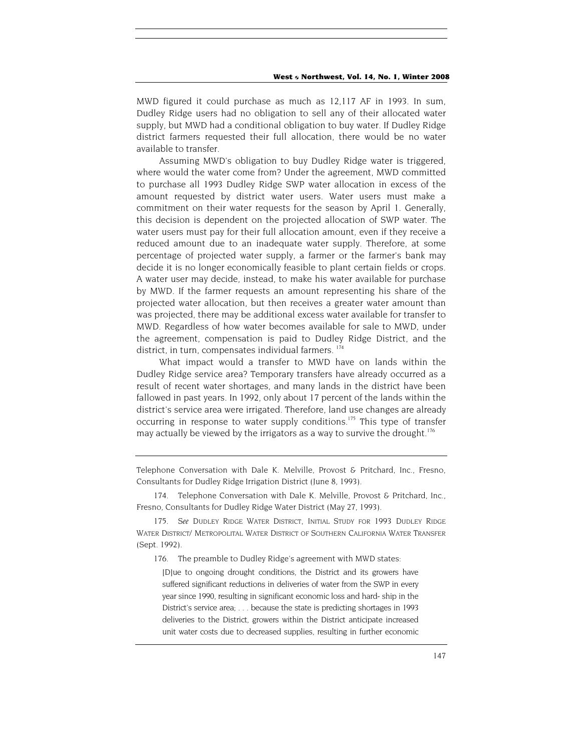<span id="page-43-2"></span>MWD figured it could purchase as much as 12,117 AF in 1993. In sum, Dudley Ridge users had no obligation to sell any of their allocated water supply, but MWD had a conditional obligation to buy water. If Dudley Ridge district farmers requested their full allocation, there would be no water available to transfer.

Assuming MWD's obligation to buy Dudley Ridge water is triggered, where would the water come from? Under the agreement, MWD committed to purchase all 1993 Dudley Ridge SWP water allocation in excess of the amount requested by district water users. Water users must make a commitment on their water requests for the season by April 1. Generally, this decision is dependent on the projected allocation of SWP water. The water users must pay for their full allocation amount, even if they receive a reduced amount due to an inadequate water supply. Therefore, at some percentage of projected water supply, a farmer or the farmer's bank may decide it is no longer economically feasible to plant certain fields or crops. A water user may decide, instead, to make his water available for purchase by MWD. If the farmer requests an amount representing his share of the projected water allocation, but then receives a greater water amount than was projected, there may be additional excess water available for transfer to MWD. Regardless of how water becomes available for sale to MWD, under the agreement, compensation is paid to Dudley Ridge District, and the district, in turn, compensates individual farmers.<sup>174</sup>

What impact would a transfer to MWD have on lands within the Dudley Ridge service area? Temporary transfers have already occurred as a result of recent water shortages, and many lands in the district have been fallowed in past years. In 1992, only about 17 percent of the lands within the district's service area were irrigated. Therefore, land use changes are already occurring in response to water supply conditions.<sup>175</sup> This type of transfer may actually be viewed by the irrigators as a way to survive the drought.<sup>176</sup>

Telephone Conversation with Dale K. Melville, Provost & Pritchard, Inc., Fresno, Consultants for Dudley Ridge Irrigation District (June 8, 1993).

<span id="page-43-0"></span>174. Telephone Conversation with Dale K. Melville, Provost & Pritchard, Inc., Fresno, Consultants for Dudley Ridge Water District (May 27, 1993).

<span id="page-43-1"></span>175*. See* DUDLEY RIDGE WATER DISTRICT, INITIAL STUDY FOR 1993 DUDLEY RIDGE WATER DISTRICT/ METROPOLITAL WATER DISTRICT OF SOUTHERN CALIFORNIA WATER TRANSFER (Sept. 1992).

176. The preamble to Dudley Ridge's agreement with MWD states:

[D]ue to ongoing drought conditions, the District and its growers have suffered significant reductions in deliveries of water from the SWP in every year since 1990, resulting in significant economic loss and hard- ship in the District's service area; . . . because the state is predicting shortages in 1993 deliveries to the District, growers within the District anticipate increased unit water costs due to decreased supplies, resulting in further economic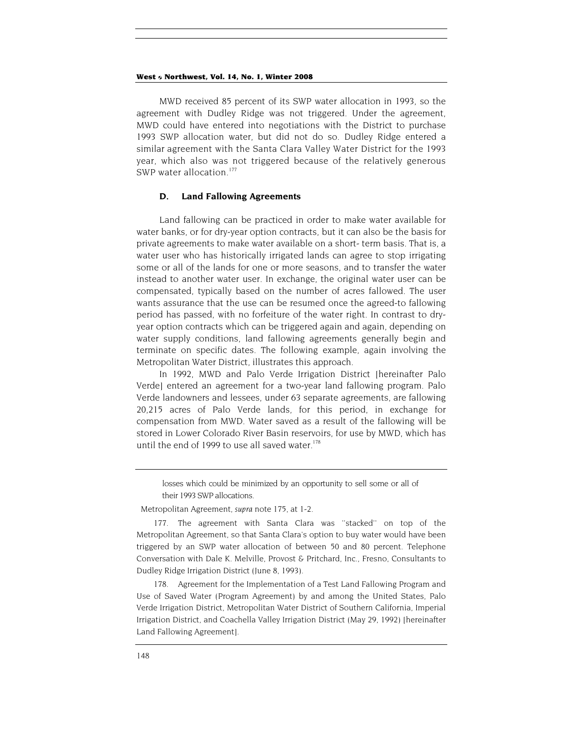MWD received 85 percent of its SWP water allocation in 1993, so the agreement with Dudley Ridge was not triggered. Under the agreement, MWD could have entered into negotiations with the District to purchase 1993 SWP allocation water, but did not do so. Dudley Ridge entered a similar agreement with the Santa Clara Valley Water District for the 1993 year, which also was not triggered because of the relatively generous SWP water allocation.<sup>177</sup>

## **D. Land Fallowing Agreements**

Land fallowing can be practiced in order to make water available for water banks, or for dry-year option contracts, but it can also be the basis for private agreements to make water available on a short- term basis. That is, a water user who has historically irrigated lands can agree to stop irrigating some or all of the lands for one or more seasons, and to transfer the water instead to another water user. In exchange, the original water user can be compensated, typically based on the number of acres fallowed. The user wants assurance that the use can be resumed once the agreed-to fallowing period has passed, with no forfeiture of the water right. In contrast to dryyear option contracts which can be triggered again and again, depending on water supply conditions, land fallowing agreements generally begin and terminate on specific dates. The following example, again involving the Metropolitan Water District, illustrates this approach.

In 1992, MWD and Palo Verde Irrigation District [hereinafter Palo Verde] entered an agreement for a two-year land fallowing program. Palo Verde landowners and lessees, under 63 separate agreements, are fallowing 20,215 acres of Palo Verde lands, for this period, in exchange for compensation from MWD. Water saved as a result of the fallowing will be stored in Lower Colorado River Basin reservoirs, for use by MWD, which has until the end of 1999 to use all saved water.<sup>[178](#page-44-1)</sup>

losses which could be minimized by an opportunity to sell some or all of their 1993 SWP allocations.

Metropolitan Agreement, *supra* note 175, at 1-2.

<span id="page-44-0"></span>177. The agreement with Santa Clara was ''stacked'' on top of the Metropolitan Agreement, so that Santa Clara's option to buy water would have been triggered by an SWP water allocation of between 50 and 80 percent. Telephone Conversation with Dale K. Melville, Provost & Pritchard, Inc., Fresno, Consultants to Dudley Ridge Irrigation District (June 8, 1993).

<span id="page-44-1"></span>178. Agreement for the Implementation of a Test Land Fallowing Program and Use of Saved Water (Program Agreement) by and among the United States, Palo Verde Irrigation District, Metropolitan Water District of Southern California, Imperial Irrigation District, and Coachella Valley Irrigation District (May 29, 1992) [hereinafter Land Fallowing Agreement].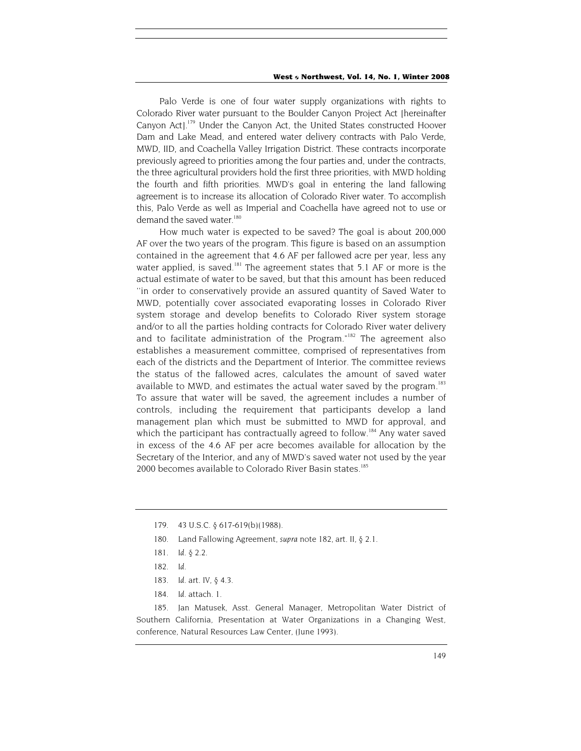Palo Verde is one of four water supply organizations with rights to Colorado River water pursuant to the Boulder Canyon Project Act [hereinafter Canyon Act].[179](#page-45-0) Under the Canyon Act, the United States constructed Hoover Dam and Lake Mead, and entered water delivery contracts with Palo Verde, MWD, IID, and Coachella Valley Irrigation District. These contracts incorporate previously agreed to priorities among the four parties and, under the contracts, the three agricultural providers hold the first three priorities, with MWD holding the fourth and fifth priorities. MWD's goal in entering the land fallowing agreement is to increase its allocation of Colorado River water. To accomplish this, Palo Verde as well as Imperial and Coachella have agreed not to use or demand the saved water.<sup>180</sup>

How much water is expected to be saved? The goal is about 200,000 AF over the two years of the program. This figure is based on an assumption contained in the agreement that 4.6 AF per fallowed acre per year, less any water applied, is saved.<sup>181</sup> The agreement states that 5.1 AF or more is the actual estimate of water to be saved, but that this amount has been reduced ''in order to conservatively provide an assured quantity of Saved Water to MWD, potentially cover associated evaporating losses in Colorado River system storage and develop benefits to Colorado River system storage and/or to all the parties holding contracts for Colorado River water delivery and to facilitate administration of the Program."[182](#page-45-3) The agreement also establishes a measurement committee, comprised of representatives from each of the districts and the Department of Interior. The committee reviews the status of the fallowed acres, calculates the amount of saved water available to MWD, and estimates the actual water saved by the program.<sup>183</sup> To assure that water will be saved, the agreement includes a number of controls, including the requirement that participants develop a land management plan which must be submitted to MWD for approval, and which the participant has contractually agreed to follow.<sup>184</sup> Any water saved in excess of the 4.6 AF per acre becomes available for allocation by the Secretary of the Interior, and any of MWD's saved water not used by the year 2000 becomes available to Colorado River Basin states.<sup>185</sup>

- <span id="page-45-1"></span>180. Land Fallowing Agreement, *supra* note 182, art. II, § 2.1.
- <span id="page-45-2"></span>181*. Id.* § 2.2.
- <span id="page-45-3"></span>182*. Id.*
- <span id="page-45-4"></span>183*. Id.* art. IV, § 4.3.
- 184*. Id.* attach. 1.

<span id="page-45-6"></span><span id="page-45-5"></span>185. Jan Matusek, Asst. General Manager, Metropolitan Water District of Southern California, Presentation at Water Organizations in a Changing West, conference, Natural Resources Law Center, (June 1993).

<span id="page-45-0"></span><sup>179. 43</sup> U.S.C. § 617-619(b)(1988).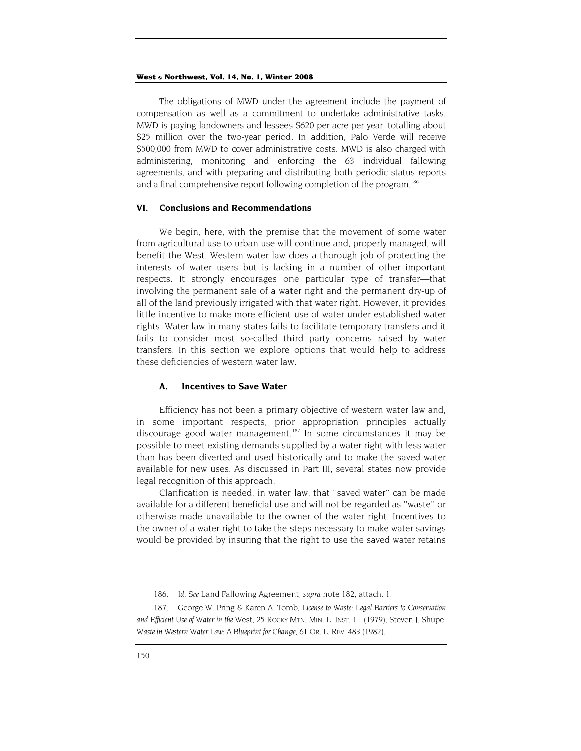The obligations of MWD under the agreement include the payment of compensation as well as a commitment to undertake administrative tasks. MWD is paying landowners and lessees \$620 per acre per year, totalling about \$25 million over the two-year period. In addition, Palo Verde will receive \$500,000 from MWD to cover administrative costs. MWD is also charged with administering, monitoring and enforcing the 63 individual fallowing agreements, and with preparing and distributing both periodic status reports and a final comprehensive report following completion of the program.<sup>186</sup>

## **VI. Conclusions and Recommendations**

We begin, here, with the premise that the movement of some water from agricultural use to urban use will continue and, properly managed, will benefit the West. Western water law does a thorough job of protecting the interests of water users but is lacking in a number of other important respects. It strongly encourages one particular type of transfer—that involving the permanent sale of a water right and the permanent dry-up of all of the land previously irrigated with that water right. However, it provides little incentive to make more efficient use of water under established water rights. Water law in many states fails to facilitate temporary transfers and it fails to consider most so-called third party concerns raised by water transfers. In this section we explore options that would help to address these deficiencies of western water law.

## **A. Incentives to Save Water**

Efficiency has not been a primary objective of western water law and, in some important respects, prior appropriation principles actually discourage good water management.<sup>187</sup> In some circumstances it mav be possible to meet existing demands supplied by a water right with less water than has been diverted and used historically and to make the saved water available for new uses. As discussed in Part III, several states now provide legal recognition of this approach.

Clarification is needed, in water law, that ''saved water'' can be made available for a different beneficial use and will not be regarded as ''waste'' or otherwise made unavailable to the owner of the water right. Incentives to the owner of a water right to take the steps necessary to make water savings would be provided by insuring that the right to use the saved water retains

<span id="page-46-0"></span><sup>186</sup>*. Id. See* Land Fallowing Agreement, *supra* note 182, attach. 1.

<span id="page-46-1"></span><sup>187.</sup> George W. Pring & Karen A. Tomb, *License to Waste: Legal Barriers to Conservation and Efficient Use of Water in the* West, 25 ROCKY MTN. MIN. L. INST. 1 (1979), Steven J. Shupe, *Waste in Western Water Law: A Blueprint for Change,* 61 OR. L. REV. 483 (1982).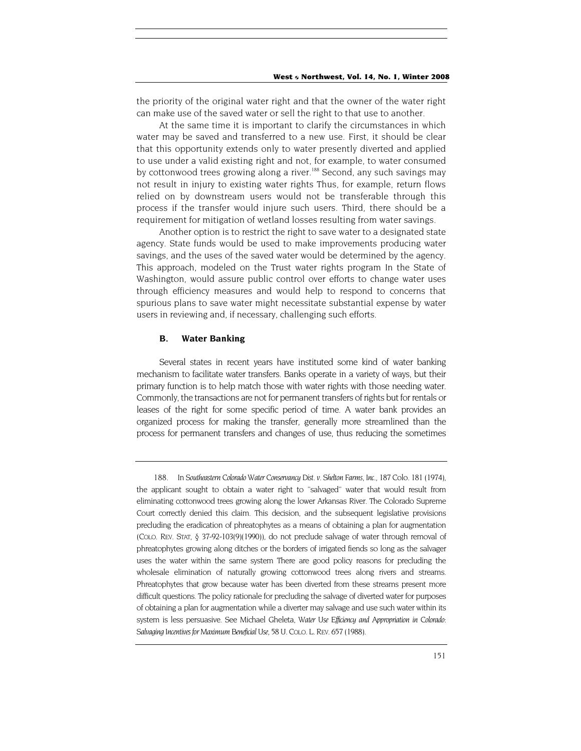the priority of the original water right and that the owner of the water right can make use of the saved water or sell the right to that use to another.

At the same time it is important to clarify the circumstances in which water may be saved and transferred to a new use. First, it should be clear that this opportunity extends only to water presently diverted and applied to use under a valid existing right and not, for example, to water consumed by cottonwood trees growing along a river.<sup>188</sup> Second, any such savings may not result in injury to existing water rights Thus, for example, return flows relied on by downstream users would not be transferable through this process if the transfer would injure such users. Third, there should be a requirement for mitigation of wetland losses resulting from water savings.

Another option is to restrict the right to save water to a designated state agency. State funds would be used to make improvements producing water savings, and the uses of the saved water would be determined by the agency. This approach, modeled on the Trust water rights program In the State of Washington, would assure public control over efforts to change water uses through efficiency measures and would help to respond to concerns that spurious plans to save water might necessitate substantial expense by water users in reviewing and, if necessary, challenging such efforts.

#### **B. Water Banking**

Several states in recent years have instituted some kind of water banking mechanism to facilitate water transfers. Banks operate in a variety of ways, but their primary function is to help match those with water rights with those needing water. Commonly, the transactions are not for permanent transfers of rights but for rentals or leases of the right for some specific period of time. A water bank provides an organized process for making the transfer, generally more streamlined than the process for permanent transfers and changes of use, thus reducing the sometimes

<span id="page-47-0"></span><sup>188.</sup> In *Southeastern Colorado Water Conservancy Dist. v. Shelton Farms, Inc.,* 187 Colo. 181 (1974), the applicant sought to obtain a water right to ''salvaged'' water that would result from eliminating cottonwood trees growing along the lower Arkansas River. The Colorado Supreme Court correctly denied this claim. This decision, and the subsequent legislative provisions precluding the eradication of phreatophytes as a means of obtaining a plan for augmentation (COLO. REV. STAT, § 37-92-103(9)(1990)), do not preclude salvage of water through removal of phreatophytes growing along ditches or the borders of irrigated fiends so long as the salvager uses the water within the same system There are good policy reasons for precluding the wholesale elimination of naturally growing cottonwood trees along rivers and streams. Phreatophytes that grow because water has been diverted from these streams present more difficult questions. The policy rationale for precluding the salvage of diverted water for purposes of obtaining a plan for augmentation while a diverter may salvage and use such water within its system is less persuasive. See Michael Gheleta, *Water Use Efficiency and Appropriation in Colorado:*  Salvaging Incentives for Maximum Beneficial Use, 58 U. COLO. L. REV. 657 (1988).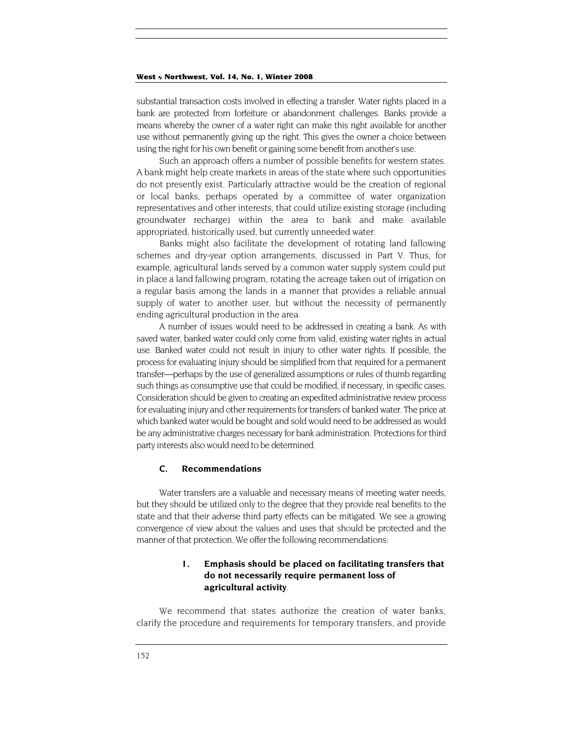substantial transaction costs involved in effecting a transfer. Water rights placed in a bank are protected from forfeiture or abandonment challenges. Banks provide a means whereby the owner of a water right can make this right available for another use without permanently giving up the right. This gives the owner a choice between using the right for his own benefit or gaining some benefit from another's use.

Such an approach offers a number of possible benefits for western states. A bank might help create markets in areas of the state where such opportunities do not presently exist. Particularly attractive would be the creation of regional or local banks, perhaps operated by a committee of water organization representatives and other interests, that could utilize existing storage (including groundwater recharge) within the area to bank and make available appropriated, historically used, but currently unneeded water.

Banks might also facilitate the development of rotating land fallowing schemes and dry-year option arrangements, discussed in Part V. Thus, for example, agricultural lands served by a common water supply system could put in place a land fallowing program, rotating the acreage taken out of irrigation on a regular basis among the lands in a manner that provides a reliable annual supply of water to another user, but without the necessity of permanently ending agricultural production in the area.

A number of issues would need to be addressed in creating a bank. As with saved water, banked water could only come from valid, existing water rights in actual use. Banked water could not result in injury to other water rights. If possible, the process for evaluating injury should be simplified from that required for a permanent transfer—perhaps by the use of generalized assumptions or rules of thumb regarding such things as consumptive use that could be modified, if necessary, in specific cases. Consideration should be given to creating an expedited administrative review process for evaluating injury and other requirements for transfers of banked water. The price at which banked water would be bought and sold would need to be addressed as would be any administrative charges necessary for bank administration. Protections for third party interests also would need to be determined.

## **C. Recommendations**

Water transfers are a valuable and necessary means of meeting water needs, but they should be utilized only to the degree that they provide real benefits to the state and that their adverse third party effects can be mitigated. We see a growing convergence of view about the values and uses that should be protected and the manner of that protection. We offer the following recommendations:

## **1. Emphasis should be placed on facilitating transfers that do not necessarily require permanent loss of agricultural activity**.

We recommend that states authorize the creation of water banks, clarify the procedure and requirements for temporary transfers, and provide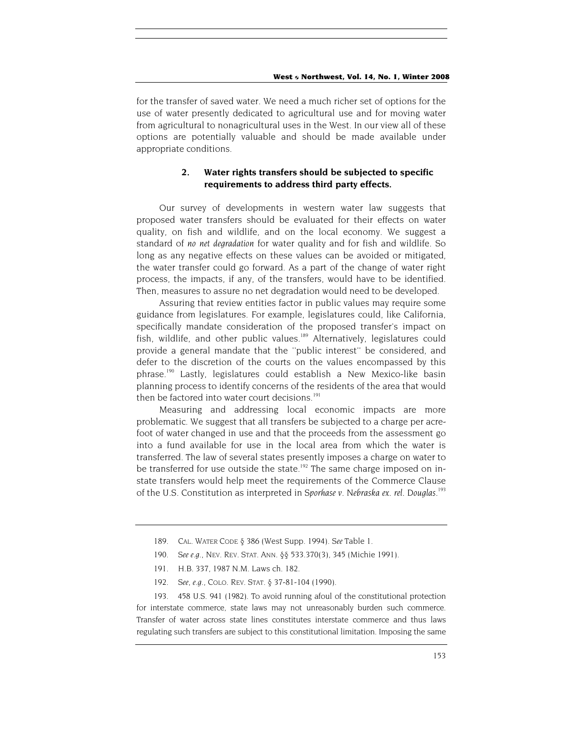for the transfer of saved water. We need a much richer set of options for the use of water presently dedicated to agricultural use and for moving water from agricultural to nonagricultural uses in the West. In our view all of these options are potentially valuable and should be made available under appropriate conditions.

## **2. Water rights transfers should be subjected to specific requirements to address third party effects.**

Our survey of developments in western water law suggests that proposed water transfers should be evaluated for their effects on water quality, on fish and wildlife, and on the local economy. We suggest a standard of *no net degradation* for water quality and for fish and wildlife. So long as any negative effects on these values can be avoided or mitigated, the water transfer could go forward. As a part of the change of water right process, the impacts, if any, of the transfers, would have to be identified. Then, measures to assure no net degradation would need to be developed.

Assuring that review entities factor in public values may require some guidance from legislatures. For example, legislatures could, like California, specifically mandate consideration of the proposed transfer's impact on fish, wildlife, and other public values.<sup>189</sup> Alternatively, legislatures could provide a general mandate that the ''public interest'' be considered, and defer to the discretion of the courts on the values encompassed by this phrase[.190](#page-49-1) Lastly, legislatures could establish a New Mexico-like basin planning process to identify concerns of the residents of the area that would then be factored into water court decisions.<sup>[191](#page-49-2)</sup>

Measuring and addressing local economic impacts are more problematic. We suggest that all transfers be subjected to a charge per acrefoot of water changed in use and that the proceeds from the assessment go into a fund available for use in the local area from which the water is transferred. The law of several states presently imposes a charge on water to be transferred for use outside the state.<sup>192</sup> The same charge imposed on instate transfers would help meet the requirements of the Commerce Clause of the U.S. Constitution as interpreted in *Sporhase v. Nebraska ex. rel. Douglas.*[193](#page-49-4)

<span id="page-49-4"></span><span id="page-49-3"></span>193. 458 U.S. 941 (1982). To avoid running afoul of the constitutional protection for interstate commerce, state laws may not unreasonably burden such commerce. Transfer of water across state lines constitutes interstate commerce and thus laws regulating such transfers are subject to this constitutional limitation. Imposing the same

<span id="page-49-0"></span><sup>189.</sup> CAL. WATER CODE § 386 (West Supp. 1994). *See* Table 1.

<span id="page-49-1"></span><sup>190</sup>*. See e.g.,* NEV. REV. STAT. ANN. §§ 533.370(3), 345 (Michie 1991).

<span id="page-49-2"></span><sup>191.</sup> H.B. 337, 1987 N.M. Laws ch. 182.

<sup>192</sup>*. See, e.g.,* COLO. REV. STAT. § 37-81-104 (1990).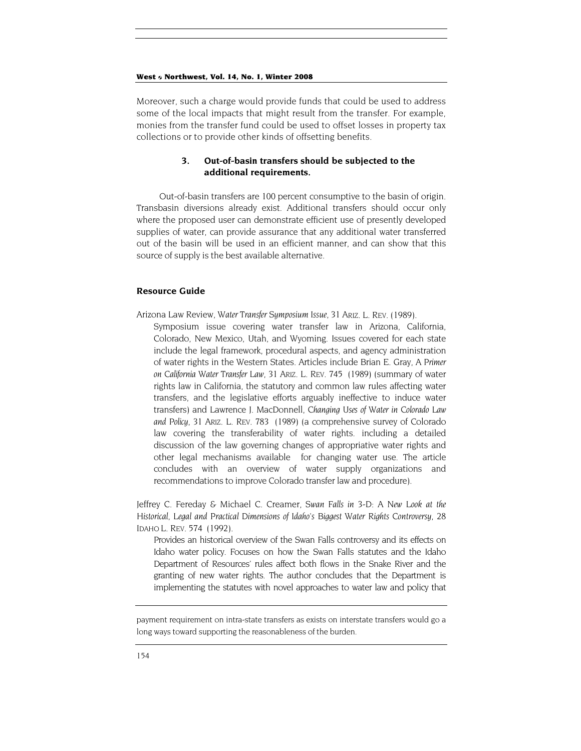Moreover, such a charge would provide funds that could be used to address some of the local impacts that might result from the transfer. For example, monies from the transfer fund could be used to offset losses in property tax collections or to provide other kinds of offsetting benefits.

## **3. Out-of-basin transfers should be subjected to the additional requirements.**

Out-of-basin transfers are 100 percent consumptive to the basin of origin. Transbasin diversions already exist. Additional transfers should occur only where the proposed user can demonstrate efficient use of presently developed supplies of water, can provide assurance that any additional water transferred out of the basin will be used in an efficient manner, and can show that this source of supply is the best available alternative.

## **Resource Guide**

- Arizona Law Review, *Water Transfer Symposium Issue*, 31 ARIZ. L. REV. (1989).
	- Symposium issue covering water transfer law in Arizona, California, Colorado, New Mexico, Utah, and Wyoming. Issues covered for each state include the legal framework, procedural aspects, and agency administration of water rights in the Western States. Articles include Brian E. Gray, *A Primer on California Water Transfer Law,* 31 ARIZ. L. REV. 745 (1989) (summary of water rights law in California, the statutory and common law rules affecting water transfers, and the legislative efforts arguably ineffective to induce water transfers) and Lawrence J. MacDonnell, *Changing Uses of Water in Colorado Law and Policy,* 31 ARIZ. L. REV. 783 (1989) (a comprehensive survey of Colorado law covering the transferability of water rights. including a detailed discussion of the law governing changes of appropriative water rights and other legal mechanisms available for changing water use. The article concludes with an overview of water supply organizations and recommendations to improve Colorado transfer law and procedure).

Jeffrey C. Fereday & Michael C. Creamer, *Swan Falls in 3-D: A New Look at the Historical, Legal and Practical Dimensions of Idaho's Biggest Water Rights Controversy,* 28 IDAHO L. REV. 574 (1992).

Provides an historical overview of the Swan Falls controversy and its effects on Idaho water policy. Focuses on how the Swan Falls statutes and the Idaho Department of Resources' rules affect both flows in the Snake River and the granting of new water rights. The author concludes that the Department is implementing the statutes with novel approaches to water law and policy that

payment requirement on intra-state transfers as exists on interstate transfers would go a long ways toward supporting the reasonableness of the burden.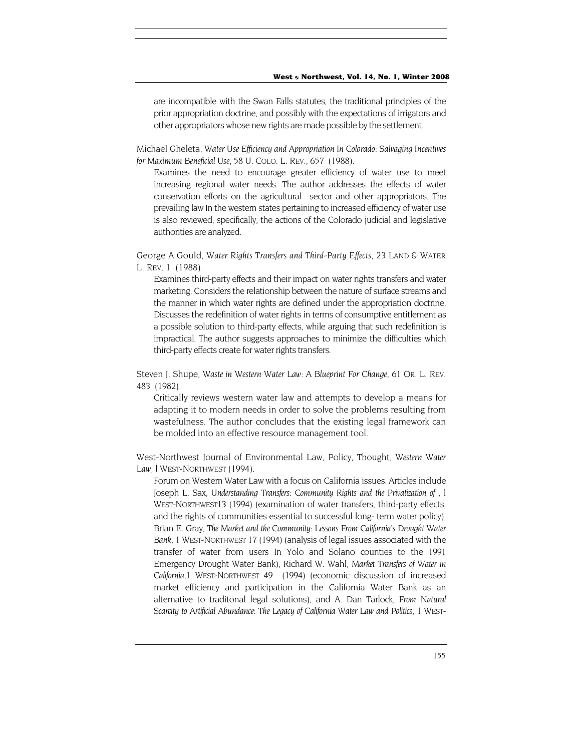are incompatible with the Swan Falls statutes, the traditional principles of the prior appropriation doctrine, and possibly with the expectations of irrigators and other appropriators whose new rights are made possible by the settlement.

Michael Gheleta, *Water Use Efficiency and Appropriation In Colorado: Salvaging Incentives for Maximum Beneficial Use,* 58 U. COLO. L. REV., 657 (1988).

Examines the need to encourage greater efficiency of water use to meet increasing regional water needs. The author addresses the effects of water conservation efforts on the agricultural sector and other appropriators. The prevailing law In the western states pertaining to increased efficiency of water use is also reviewed, specifically, the actions of the Colorado judicial and legislative authorities are analyzed.

George A Gould, *Water Rights Transfers and Third-Party Effects,* 23 LAND & WATER L. REV. 1 (1988).

Examines third-party effects and their impact on water rights transfers and water marketing. Considers the relationship between the nature of surface streams and the manner in which water rights are defined under the appropriation doctrine. Discusses the redefinition of water rights in terms of consumptive entitlement as a possible solution to third-party effects, while arguing that such redefinition is impractical. The author suggests approaches to minimize the difficulties which third-party effects create for water rights transfers.

Steven J. Shupe, *Waste in Western Water Law: A Blueprint For Change,* 61 OR. L. REV. 483 (1982).

Critically reviews western water law and attempts to develop a means for adapting it to modern needs in order to solve the problems resulting from wastefulness. The author concludes that the existing legal framework can be molded into an effective resource management tool.

West-Northwest Journal of Environmental Law, Policy, Thought, *Western Water*  Law, *l* WEST-NORTHWEST (1994).

Forum on Western Water Law with a focus on California issues. Articles include Joseph L. Sax, *Understanding Transfers: Community Rights and the Privatization of ,* l WEST-NORTHWEST13 (1994) (examination of water transfers, third-party effects, and the rights of communities essential to successful long- term water policy), Brian E. Gray, *The Market and the Community: Lessons From California's Drought Water Bank,* 1 WEST-NORTHWEST 17 (1994) (analysis of legal issues associated with the transfer of water from users In Yolo and Solano counties to the 1991 Emergency Drought Water Bank), Richard W. Wahl, *Market Transfers of Water in California,*1 WEST-NORTHWEST 49 (1994) (economic discussion of increased market efficiency and participation in the California Water Bank as an alternative to traditonal legal solutions), and A. Dan Tarlock, *From Natural Scarcity to Artificial Abundance: The Legacy of California Water Law and Politics,* 1 WEST-